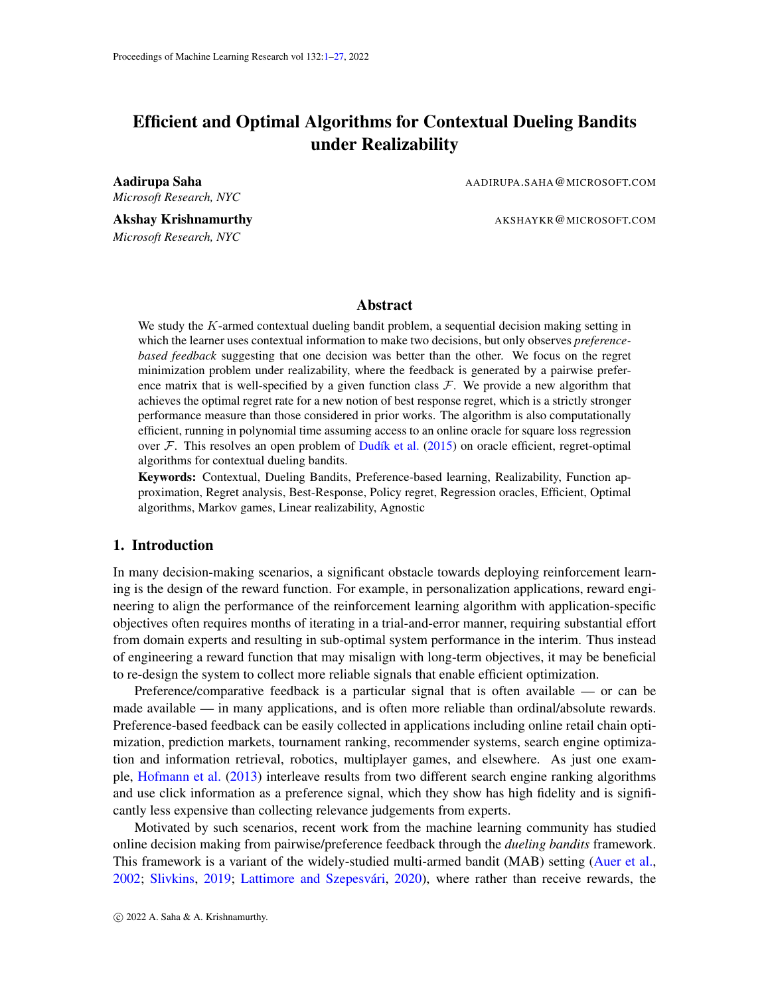# <span id="page-0-0"></span>Efficient and Optimal Algorithms for Contextual Dueling Bandits under Realizability

*Microsoft Research, NYC*

Aadirupa Saha AADIRUPA.SAHA@MICROSOFT.COM

Akshay Krishnamurthy **AKSHAYKR@MICROSOFT.COM** *Microsoft Research, NYC*

## **Abstract**

We study the K-armed contextual dueling bandit problem, a sequential decision making setting in which the learner uses contextual information to make two decisions, but only observes *preferencebased feedback* suggesting that one decision was better than the other. We focus on the regret minimization problem under realizability, where the feedback is generated by a pairwise preference matrix that is well-specified by a given function class  $F$ . We provide a new algorithm that achieves the optimal regret rate for a new notion of best response regret, which is a strictly stronger performance measure than those considered in prior works. The algorithm is also computationally efficient, running in polynomial time assuming access to an online oracle for square loss regression over  $\mathcal F$ . This resolves an open problem of Dudík et al. [\(2015\)](#page-15-0) on oracle efficient, regret-optimal algorithms for contextual dueling bandits.

Keywords: Contextual, Dueling Bandits, Preference-based learning, Realizability, Function approximation, Regret analysis, Best-Response, Policy regret, Regression oracles, Efficient, Optimal algorithms, Markov games, Linear realizability, Agnostic

# 1. Introduction

In many decision-making scenarios, a significant obstacle towards deploying reinforcement learning is the design of the reward function. For example, in personalization applications, reward engineering to align the performance of the reinforcement learning algorithm with application-specific objectives often requires months of iterating in a trial-and-error manner, requiring substantial effort from domain experts and resulting in sub-optimal system performance in the interim. Thus instead of engineering a reward function that may misalign with long-term objectives, it may be beneficial to re-design the system to collect more reliable signals that enable efficient optimization.

Preference/comparative feedback is a particular signal that is often available — or can be made available — in many applications, and is often more reliable than ordinal/absolute rewards. Preference-based feedback can be easily collected in applications including online retail chain optimization, prediction markets, tournament ranking, recommender systems, search engine optimization and information retrieval, robotics, multiplayer games, and elsewhere. As just one example, [Hofmann et al.](#page-15-1) [\(2013\)](#page-15-1) interleave results from two different search engine ranking algorithms and use click information as a preference signal, which they show has high fidelity and is significantly less expensive than collecting relevance judgements from experts.

Motivated by such scenarios, recent work from the machine learning community has studied online decision making from pairwise/preference feedback through the *dueling bandits* framework. This framework is a variant of the widely-studied multi-armed bandit (MAB) setting [\(Auer et al.,](#page-14-0) [2002;](#page-14-0) [Slivkins,](#page-17-0) [2019;](#page-17-0) Lattimore and Szepesvári, [2020\)](#page-16-0), where rather than receive rewards, the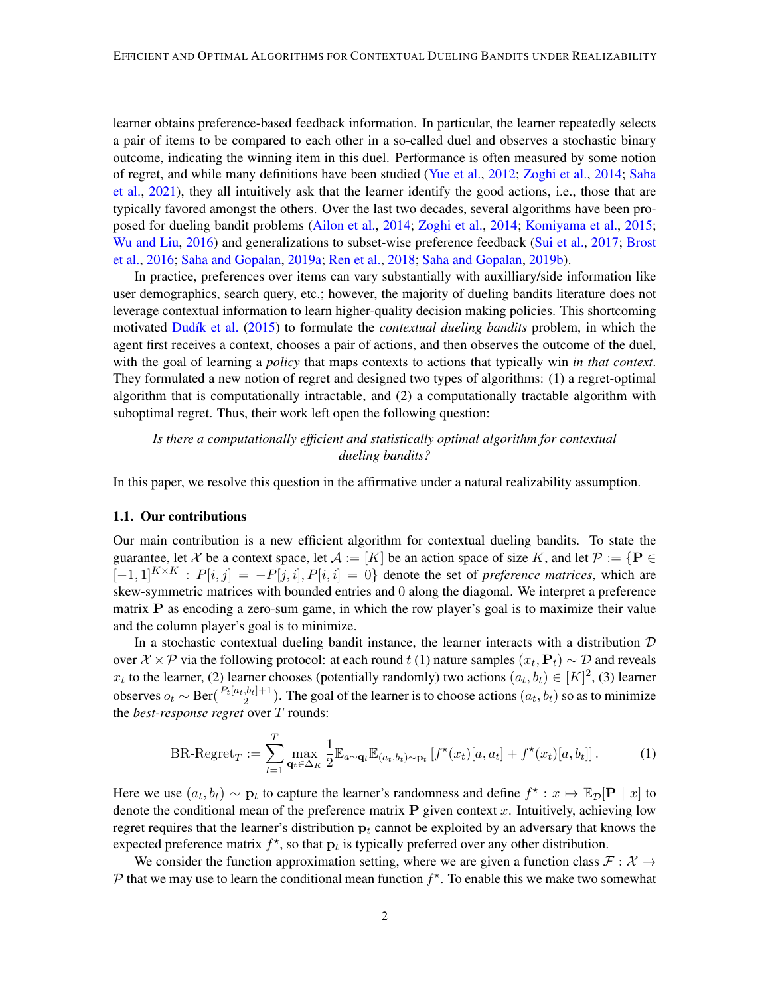learner obtains preference-based feedback information. In particular, the learner repeatedly selects a pair of items to be compared to each other in a so-called duel and observes a stochastic binary outcome, indicating the winning item in this duel. Performance is often measured by some notion of regret, and while many definitions have been studied [\(Yue et al.,](#page-17-1) [2012;](#page-17-1) [Zoghi et al.,](#page-17-2) [2014;](#page-17-2) [Saha](#page-16-1) [et al.,](#page-16-1) [2021\)](#page-16-1), they all intuitively ask that the learner identify the good actions, i.e., those that are typically favored amongst the others. Over the last two decades, several algorithms have been proposed for dueling bandit problems [\(Ailon et al.,](#page-14-1) [2014;](#page-14-1) [Zoghi et al.,](#page-17-2) [2014;](#page-17-2) [Komiyama et al.,](#page-15-2) [2015;](#page-15-2) [Wu and Liu,](#page-17-3) [2016\)](#page-17-3) and generalizations to subset-wise preference feedback [\(Sui et al.,](#page-17-4) [2017;](#page-17-4) [Brost](#page-14-2) [et al.,](#page-14-2) [2016;](#page-14-2) [Saha and Gopalan,](#page-16-2) [2019a;](#page-16-2) [Ren et al.,](#page-16-3) [2018;](#page-16-3) [Saha and Gopalan,](#page-16-4) [2019b\)](#page-16-4).

In practice, preferences over items can vary substantially with auxilliary/side information like user demographics, search query, etc.; however, the majority of dueling bandits literature does not leverage contextual information to learn higher-quality decision making policies. This shortcoming motivated Dudík et al. [\(2015\)](#page-15-0) to formulate the *contextual dueling bandits* problem, in which the agent first receives a context, chooses a pair of actions, and then observes the outcome of the duel, with the goal of learning a *policy* that maps contexts to actions that typically win *in that context*. They formulated a new notion of regret and designed two types of algorithms: (1) a regret-optimal algorithm that is computationally intractable, and (2) a computationally tractable algorithm with suboptimal regret. Thus, their work left open the following question:

# *Is there a computationally efficient and statistically optimal algorithm for contextual dueling bandits?*

In this paper, we resolve this question in the affirmative under a natural realizability assumption.

#### 1.1. Our contributions

Our main contribution is a new efficient algorithm for contextual dueling bandits. To state the guarantee, let X be a context space, let  $A := [K]$  be an action space of size K, and let  $\mathcal{P} := \{ \mathbf{P} \in \mathcal{P} \}$  $[-1, 1]^{K \times K}$  :  $P[i, j] = -P[j, i], P[i, i] = 0$ } denote the set of *preference matrices*, which are skew-symmetric matrices with bounded entries and 0 along the diagonal. We interpret a preference matrix  $P$  as encoding a zero-sum game, in which the row player's goal is to maximize their value and the column player's goal is to minimize.

In a stochastic contextual dueling bandit instance, the learner interacts with a distribution  $D$ over  $X \times P$  via the following protocol: at each round  $t(1)$  nature samples  $(x_t, P_t) \sim D$  and reveals  $x_t$  to the learner, (2) learner chooses (potentially randomly) two actions  $(a_t, b_t) \in [K]^2$ , (3) learner observes  $o_t \sim \text{Ber}(\frac{P_t[a_t,b_t]+1}{2})$  $\frac{a_1, b_1 + 1}{2}$ ). The goal of the learner is to choose actions  $(a_t, b_t)$  so as to minimize the *best-response regret* over T rounds:

<span id="page-1-0"></span>BR-Regret<sub>T</sub> := 
$$
\sum_{t=1}^{T} \max_{\mathbf{q}_t \in \Delta_K} \frac{1}{2} \mathbb{E}_{a \sim \mathbf{q}_t} \mathbb{E}_{(a_t, b_t) \sim \mathbf{p}_t} [f^*(x_t)[a, a_t] + f^*(x_t)[a, b_t]].
$$
 (1)

Here we use  $(a_t, b_t) \sim \mathbf{p}_t$  to capture the learner's randomness and define  $f^* : x \mapsto \mathbb{E}_{\mathcal{D}}[\mathbf{P} \mid x]$  to denote the conditional mean of the preference matrix  $P$  given context x. Intuitively, achieving low regret requires that the learner's distribution  $p_t$  cannot be exploited by an adversary that knows the expected preference matrix  $f^*$ , so that  $p_t$  is typically preferred over any other distribution.

We consider the function approximation setting, where we are given a function class  $\mathcal{F} : \mathcal{X} \to$  $P$  that we may use to learn the conditional mean function  $f^*$ . To enable this we make two somewhat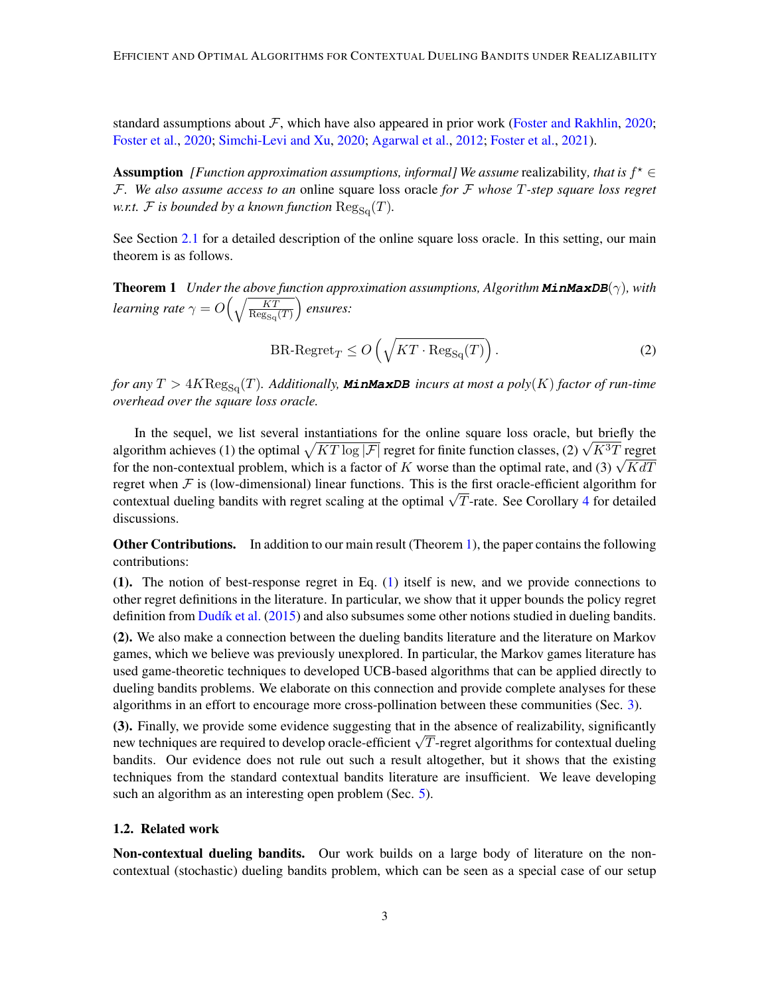standard assumptions about  $\mathcal F$ , which have also appeared in prior work [\(Foster and Rakhlin,](#page-15-3) [2020;](#page-15-3) [Foster et al.,](#page-15-4) [2020;](#page-15-4) [Simchi-Levi and Xu,](#page-16-5) [2020;](#page-16-5) [Agarwal et al.,](#page-14-3) [2012;](#page-14-3) [Foster et al.,](#page-15-5) [2021\)](#page-15-5).

Assumption [*Function approximation assumptions, informal]* We assume realizability, that is  $f^* \in$ F*. We also assume access to an* online square loss oracle *for* F *whose* T*-step square loss regret w.r.t.*  $\mathcal F$  *is bounded by a known function*  $\text{Reg}_{\text{So}}(T)$ *.* 

See Section [2.1](#page-5-0) for a detailed description of the online square loss oracle. In this setting, our main theorem is as follows.

<span id="page-2-0"></span>Theorem 1 *Under the above function approximation assumptions, Algorithm* **MinMaxDB**(γ)*, with learning rate*  $\gamma = O\left(\sqrt{\frac{KT}{\text{Re}\sigma}}\right)$  $\text{Reg}_{\text{Sq}}(T)$ *ensures:*

$$
\text{BR-Regret}_{T} \le O\left(\sqrt{KT \cdot \text{Reg}_{\text{Sq}}(T)}\right). \tag{2}
$$

*for any*  $T > 4K \text{Reg}_{\text{Sq}}(T)$ *. Additionally, MinMaxDB incurs at most a poly*(K) *factor of run-time overhead over the square loss oracle.*

In the sequel, we list several instantiations for the online square loss oracle, but briefly the In the sequel, we list several instantiations for the online square loss oracle, but briefly the algorithm achieves (1) the optimal  $\sqrt{KT \log |\mathcal{F}|}$  regret for finite function classes, (2)  $\sqrt{K^3T}$  regret algorithm achieves (1) the optimal  $\sqrt{K}T$  log  $|\mathcal{F}|$  regret for finite function classes, (2)  $\sqrt{K}T$  regret for the non-contextual problem, which is a factor of K worse than the optimal rate, and (3)  $\sqrt{K}dT$ regret when  $\mathcal F$  is (low-dimensional) linear functions. This is the first oracle-efficient algorithm for regret when  $\chi$  is (low-dimensional) linear functions. This is the first oracle-efficient algorithm for contextual dueling bandits with regret scaling at the optimal  $\sqrt{T}$ -rate. See Corollary [4](#page-11-0) for detailed discussions.

Other Contributions. In addition to our main result (Theorem [1\)](#page-2-0), the paper contains the following contributions:

(1). The notion of best-response regret in Eq. [\(1\)](#page-1-0) itself is new, and we provide connections to other regret definitions in the literature. In particular, we show that it upper bounds the policy regret definition from Dudík et al.  $(2015)$  and also subsumes some other notions studied in dueling bandits.

(2). We also make a connection between the dueling bandits literature and the literature on Markov games, which we believe was previously unexplored. In particular, the Markov games literature has used game-theoretic techniques to developed UCB-based algorithms that can be applied directly to dueling bandits problems. We elaborate on this connection and provide complete analyses for these algorithms in an effort to encourage more cross-pollination between these communities (Sec. [3\)](#page-6-0).

(3). Finally, we provide some evidence suggesting that in the absence of realizability, significantly (3). Finally, we provide some evidence suggesting that in the absence or realizability, significantly new techniques are required to develop oracle-efficient  $\sqrt{T}$ -regret algorithms for contextual dueling bandits. Our evidence does not rule out such a result altogether, but it shows that the existing techniques from the standard contextual bandits literature are insufficient. We leave developing such an algorithm as an interesting open problem (Sec. [5\)](#page-12-0).

#### <span id="page-2-1"></span>1.2. Related work

Non-contextual dueling bandits. Our work builds on a large body of literature on the noncontextual (stochastic) dueling bandits problem, which can be seen as a special case of our setup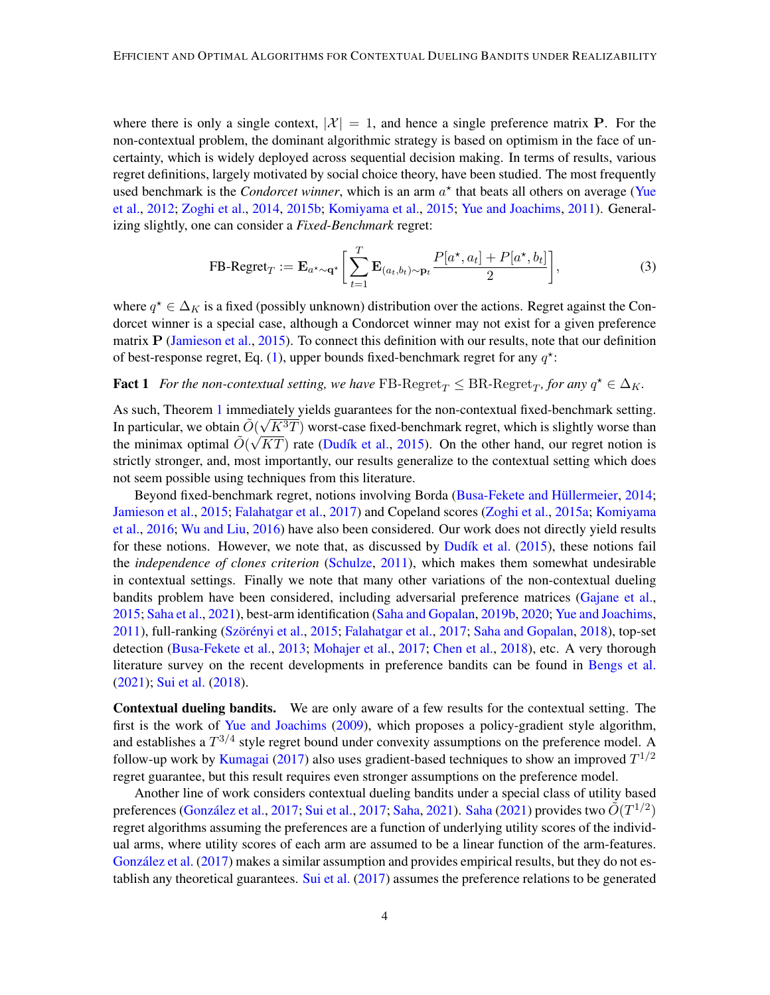where there is only a single context,  $|\mathcal{X}| = 1$ , and hence a single preference matrix **P**. For the non-contextual problem, the dominant algorithmic strategy is based on optimism in the face of uncertainty, which is widely deployed across sequential decision making. In terms of results, various regret definitions, largely motivated by social choice theory, have been studied. The most frequently used benchmark is the *Condorcet winner*, which is an arm  $a^*$  that beats all others on average [\(Yue](#page-17-1)) [et al.,](#page-17-1) [2012;](#page-17-1) [Zoghi et al.,](#page-17-2) [2014,](#page-17-2) [2015b;](#page-18-0) [Komiyama et al.,](#page-15-2) [2015;](#page-15-2) [Yue and Joachims,](#page-17-5) [2011\)](#page-17-5). Generalizing slightly, one can consider a *Fixed-Benchmark* regret:

<span id="page-3-0"></span>
$$
\text{FB-Regret}_{T} := \mathbf{E}_{a^{\star} \sim \mathbf{q}^{\star}} \bigg[ \sum_{t=1}^{T} \mathbf{E}_{(a_t, b_t) \sim \mathbf{p}_t} \frac{P[a^{\star}, a_t] + P[a^{\star}, b_t]}{2} \bigg],\tag{3}
$$

where  $q^* \in \Delta_K$  is a fixed (possibly unknown) distribution over the actions. Regret against the Condorcet winner is a special case, although a Condorcet winner may not exist for a given preference matrix  $P$  [\(Jamieson et al.,](#page-15-6) [2015\)](#page-15-6). To connect this definition with our results, note that our definition of best-response regret, Eq. [\(1\)](#page-1-0), upper bounds fixed-benchmark regret for any  $q^*$ :

# **Fact 1** For the non-contextual setting, we have  $\text{FB-Regret}_{T} \leq \text{BR-Regret}_{T}$ , for any  $q^* \in \Delta_K$ .

As such, Theorem [1](#page-2-0) immediately yields guarantees for the non-contextual fixed-benchmark setting. In particular, we obtain  $\tilde{O}(\sqrt{K^3T})$  worst-case fixed-benchmark regret, which is slightly worse than the minimax optimal  $\tilde{O}(\sqrt{KT})$  rate (Dudík et al., [2015\)](#page-15-0). On the other hand, our regret notion is strictly stronger, and, most importantly, our results generalize to the contextual setting which does not seem possible using techniques from this literature.

Beyond fixed-benchmark regret, notions involving Borda (Busa-Fekete and Hüllermeier, [2014;](#page-14-4) [Jamieson et al.,](#page-15-6) [2015;](#page-15-6) [Falahatgar et al.,](#page-15-7) [2017\)](#page-15-7) and Copeland scores [\(Zoghi et al.,](#page-18-1) [2015a;](#page-18-1) [Komiyama](#page-15-8) [et al.,](#page-15-8) [2016;](#page-15-8) [Wu and Liu,](#page-17-3) [2016\)](#page-17-3) have also been considered. Our work does not directly yield results for these notions. However, we note that, as discussed by  $Dudik$  et al. [\(2015\)](#page-15-0), these notions fail the *independence of clones criterion* [\(Schulze,](#page-16-6) [2011\)](#page-16-6), which makes them somewhat undesirable in contextual settings. Finally we note that many other variations of the non-contextual dueling bandits problem have been considered, including adversarial preference matrices [\(Gajane et al.,](#page-15-9) [2015;](#page-15-9) [Saha et al.,](#page-16-1) [2021\)](#page-16-1), best-arm identification [\(Saha and Gopalan,](#page-16-4) [2019b,](#page-16-4) [2020;](#page-16-7) [Yue and Joachims,](#page-17-5)  $2011$ ), full-ranking (Szörényi et al.,  $2015$ ; [Falahatgar et al.,](#page-15-7)  $2017$ ; [Saha and Gopalan,](#page-16-8)  $2018$ ), top-set detection [\(Busa-Fekete et al.,](#page-14-5) [2013;](#page-14-5) [Mohajer et al.,](#page-16-9) [2017;](#page-16-9) [Chen et al.,](#page-14-6) [2018\)](#page-14-6), etc. A very thorough literature survey on the recent developments in preference bandits can be found in [Bengs et al.](#page-14-7) [\(2021\)](#page-14-7); [Sui et al.](#page-17-7) [\(2018\)](#page-17-7).

Contextual dueling bandits. We are only aware of a few results for the contextual setting. The first is the work of [Yue and Joachims](#page-17-8) [\(2009\)](#page-17-8), which proposes a policy-gradient style algorithm, and establishes a  $T^{3/4}$  style regret bound under convexity assumptions on the preference model. A follow-up work by [Kumagai](#page-16-10) [\(2017\)](#page-16-10) also uses gradient-based techniques to show an improved  $T^{1/2}$ regret guarantee, but this result requires even stronger assumptions on the preference model.

Another line of work considers contextual dueling bandits under a special class of utility based preferences (González et al., [2017;](#page-17-4) [Sui et al.,](#page-17-4) 2017; [Saha,](#page-16-11) [2021\)](#page-16-11). [Saha](#page-16-11) [\(2021\)](#page-16-11) provides two  $\tilde{O}(T^{1/2})$ regret algorithms assuming the preferences are a function of underlying utility scores of the individual arms, where utility scores of each arm are assumed to be a linear function of the arm-features. González et al.  $(2017)$  makes a similar assumption and provides empirical results, but they do not es-tablish any theoretical guarantees. [Sui et al.](#page-17-4)  $(2017)$  assumes the preference relations to be generated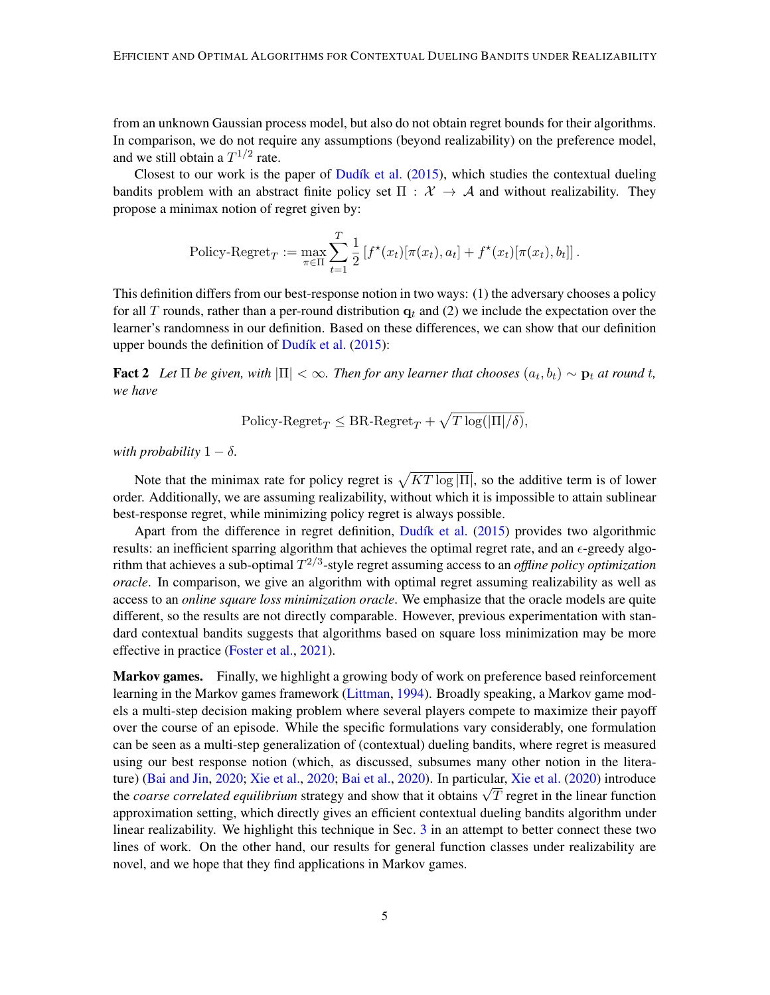from an unknown Gaussian process model, but also do not obtain regret bounds for their algorithms. In comparison, we do not require any assumptions (beyond realizability) on the preference model, and we still obtain a  $T^{1/2}$  rate.

Closest to our work is the paper of Dudík et al.  $(2015)$ , which studies the contextual dueling bandits problem with an abstract finite policy set  $\Pi : \mathcal{X} \to \mathcal{A}$  and without realizability. They propose a minimax notion of regret given by:

$$
\text{Policy-Regret}_{T} := \max_{\pi \in \Pi} \sum_{t=1}^{T} \frac{1}{2} \left[ f^{\star}(x_t) [\pi(x_t), a_t] + f^{\star}(x_t) [\pi(x_t), b_t] \right].
$$

This definition differs from our best-response notion in two ways: (1) the adversary chooses a policy for all T rounds, rather than a per-round distribution  $q_t$  and (2) we include the expectation over the learner's randomness in our definition. Based on these differences, we can show that our definition upper bounds the definition of  $Dudik$  et al. [\(2015\)](#page-15-0):

**Fact 2** Let  $\Pi$  be given, with  $|\Pi| < \infty$ . Then for any learner that chooses  $(a_t, b_t) \sim \mathbf{p}_t$  at round t, *we have*

<span id="page-4-0"></span>
$$
Policy\text{-}Regret_T \leq BR\text{-}Regret_T + \sqrt{T \log(|\Pi|/\delta)},
$$

*with probability*  $1 - \delta$ *.* 

Note that the minimax rate for policy regret is  $\sqrt{KT \log |\Pi|}$ , so the additive term is of lower order. Additionally, we are assuming realizability, without which it is impossible to attain sublinear best-response regret, while minimizing policy regret is always possible.

Apart from the difference in regret definition, Dudík et al. [\(2015\)](#page-15-0) provides two algorithmic results: an inefficient sparring algorithm that achieves the optimal regret rate, and an  $\epsilon$ -greedy algorithm that achieves a sub-optimal  $T^{2/3}$ -style regret assuming access to an *offline policy optimization oracle*. In comparison, we give an algorithm with optimal regret assuming realizability as well as access to an *online square loss minimization oracle*. We emphasize that the oracle models are quite different, so the results are not directly comparable. However, previous experimentation with standard contextual bandits suggests that algorithms based on square loss minimization may be more effective in practice [\(Foster et al.,](#page-15-5) [2021\)](#page-15-5).

Markov games. Finally, we highlight a growing body of work on preference based reinforcement learning in the Markov games framework [\(Littman,](#page-16-12) [1994\)](#page-16-12). Broadly speaking, a Markov game models a multi-step decision making problem where several players compete to maximize their payoff over the course of an episode. While the specific formulations vary considerably, one formulation can be seen as a multi-step generalization of (contextual) dueling bandits, where regret is measured using our best response notion (which, as discussed, subsumes many other notion in the literature) [\(Bai and Jin,](#page-14-8) [2020;](#page-14-8) [Xie et al.,](#page-17-9) [2020;](#page-17-9) [Bai et al.,](#page-14-9) [2020\)](#page-14-9). In particular, [Xie et al.](#page-17-9) [\(2020\)](#page-17-9) introduce ture) (Bat and Jin, 2020; Xie et al., 2020; Bat et al., 2020). In particular, Xie et al. (2020) introduce<br>the *coarse correlated equilibrium* strategy and show that it obtains  $\sqrt{T}$  regret in the linear function approximation setting, which directly gives an efficient contextual dueling bandits algorithm under linear realizability. We highlight this technique in Sec. [3](#page-6-0) in an attempt to better connect these two lines of work. On the other hand, our results for general function classes under realizability are novel, and we hope that they find applications in Markov games.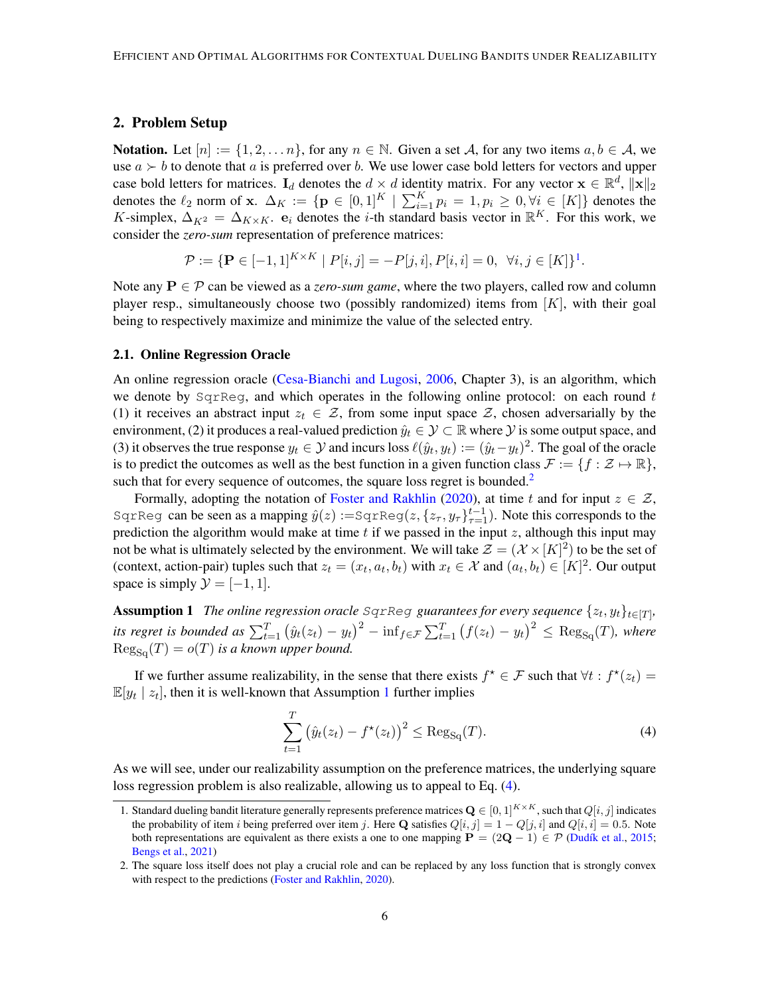# <span id="page-5-5"></span>2. Problem Setup

**Notation.** Let  $[n] := \{1, 2, ..., n\}$ , for any  $n \in \mathbb{N}$ . Given a set A, for any two items  $a, b \in \mathcal{A}$ , we use  $a \succ b$  to denote that a is preferred over b. We use lower case bold letters for vectors and upper case bold letters for matrices.  $I_d$  denotes the  $d \times d$  identity matrix. For any vector  $\mathbf{x} \in \mathbb{R}^d$ ,  $\|\mathbf{x}\|_2$ denotes the  $\ell_2$  norm of x.  $\Delta_K := \{ \mathbf{p} \in [0,1]^K \mid \sum_{i=1}^K p_i = 1, p_i \geq 0, \forall i \in [K] \}$  denotes the K-simplex,  $\Delta_{K^2} = \Delta_{K \times K}$ .  $\mathbf{e}_i$  denotes the *i*-th standard basis vector in  $\mathbb{R}^K$ . For this work, we consider the *zero-sum* representation of preference matrices:

$$
\mathcal{P} := \{ \mathbf{P} \in [-1,1]^{K \times K} \mid P[i,j] = -P[j,i], P[i,i] = 0, \ \forall i,j \in [K] \}^1.
$$

Note any  $P \in \mathcal{P}$  can be viewed as a *zero-sum game*, where the two players, called row and column player resp., simultaneously choose two (possibly randomized) items from  $[K]$ , with their goal being to respectively maximize and minimize the value of the selected entry.

#### <span id="page-5-0"></span>2.1. Online Regression Oracle

An online regression oracle [\(Cesa-Bianchi and Lugosi,](#page-14-10) [2006,](#page-14-10) Chapter 3), is an algorithm, which we denote by  $SgrReg$ , and which operates in the following online protocol: on each round t (1) it receives an abstract input  $z_t \in \mathcal{Z}$ , from some input space  $\mathcal{Z}$ , chosen adversarially by the environment, (2) it produces a real-valued prediction  $\hat{y}_t \in \mathcal{Y} \subset \mathbb{R}$  where  $\mathcal{Y}$  is some output space, and (3) it observes the true response  $y_t \in \mathcal{Y}$  and incurs loss  $\ell(\hat{y}_t, y_t) := (\hat{y}_t - y_t)^2$ . The goal of the oracle is to predict the outcomes as well as the best function in a given function class  $\mathcal{F} := \{f : \mathcal{Z} \mapsto \mathbb{R}\},\$ such that for every sequence of outcomes, the square loss regret is bounded.<sup>[2](#page-5-2)</sup>

Formally, adopting the notation of [Foster and Rakhlin](#page-15-3) [\(2020\)](#page-15-3), at time t and for input  $z \in \mathcal{Z}$ , SqrReg can be seen as a mapping  $\hat{y}(z) := \text{SqrReg}(z, \{z_\tau, y_\tau\}_{\tau=1}^{t-1})$ . Note this corresponds to the prediction the algorithm would make at time  $t$  if we passed in the input  $z$ , although this input may not be what is ultimately selected by the environment. We will take  $\mathcal{Z} = (\mathcal{X} \times [K]^2)$  to be the set of (context, action-pair) tuples such that  $z_t = (x_t, a_t, b_t)$  with  $x_t \in \mathcal{X}$  and  $(a_t, b_t) \in [K]^2$ . Our output space is simply  $\mathcal{Y} = [-1, 1]$ .

<span id="page-5-3"></span>**Assumption 1** The online regression oracle SqrReg guarantees for every sequence  $\{z_t, y_t\}_{t \in [T]},$ *its regret is bounded as*  $\sum_{t=1}^{T} (\hat{y}_t(z_t) - y_t)^2 - \inf_{f \in \mathcal{F}} \sum_{t=1}^{T} (f(z_t) - y_t)^2 \le \text{Reg}_{\text{Sq}}(T)$ , where  $\text{Reg}_{S_{\text{C}}}(T) = o(T)$  *is a known upper bound.* 

If we further assume realizability, in the sense that there exists  $f^* \in \mathcal{F}$  such that  $\forall t : f^*(z_t) =$  $\mathbb{E}[y_t | z_t]$ , then it is well-known that Assumption [1](#page-5-3) further implies

<span id="page-5-4"></span>
$$
\sum_{t=1}^{T} (\hat{y}_t(z_t) - f^*(z_t))^2 \le \text{Reg}_{\text{Sq}}(T). \tag{4}
$$

As we will see, under our realizability assumption on the preference matrices, the underlying square loss regression problem is also realizable, allowing us to appeal to Eq. [\(4\)](#page-5-4).

<span id="page-5-6"></span><span id="page-5-1"></span><sup>1.</sup> Standard dueling bandit literature generally represents preference matrices  $\mathbf{Q} \in [0, 1]^{K \times K}$ , such that  $Q[i, j]$  indicates the probability of item i being preferred over item j. Here Q satisfies  $Q[i, j] = 1 - Q[j, i]$  and  $Q[i, i] = 0.5$ . Note both representations are equivalent as there exists a one to one mapping  $P = (2Q - 1) \in \mathcal{P}$  (Dudík et al., [2015;](#page-15-0) [Bengs et al.,](#page-14-7) [2021\)](#page-14-7)

<span id="page-5-2"></span><sup>2.</sup> The square loss itself does not play a crucial role and can be replaced by any loss function that is strongly convex with respect to the predictions [\(Foster and Rakhlin,](#page-15-3) [2020\)](#page-15-3).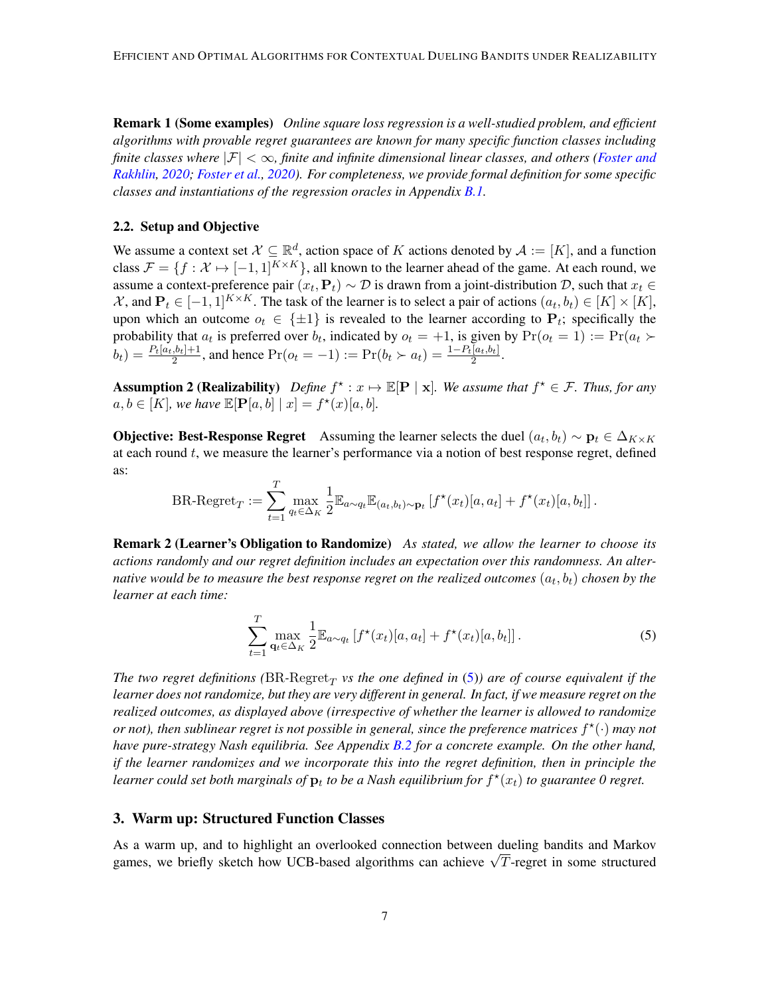Remark 1 (Some examples) *Online square loss regression is a well-studied problem, and efficient algorithms with provable regret guarantees are known for many specific function classes including finite classes where*  $|\mathcal{F}| < \infty$ *, finite and infinite dimensional linear classes, and others [\(Foster and](#page-15-3) [Rakhlin,](#page-15-3) [2020;](#page-15-3) [Foster et al.,](#page-15-4) [2020\)](#page-15-4). For completeness, we provide formal definition for some specific classes and instantiations of the regression oracles in Appendix [B.1.](#page-19-0)*

#### 2.2. Setup and Objective

We assume a context set  $\mathcal{X} \subseteq \mathbb{R}^d$ , action space of K actions denoted by  $\mathcal{A} := [K]$ , and a function class  $\mathcal{F} = \{f : \mathcal{X} \mapsto [-1, 1]^{K \times K}\}$ , all known to the learner ahead of the game. At each round, we assume a context-preference pair  $(x_t, P_t) \sim D$  is drawn from a joint-distribution D, such that  $x_t \in$  $\mathcal{X}$ , and  $\mathbf{P}_t \in [-1,1]^{K \times K}$ . The task of the learner is to select a pair of actions  $(a_t, b_t) \in [K] \times [K]$ , upon which an outcome  $o_t \in \{\pm 1\}$  is revealed to the learner according to  $P_t$ ; specifically the probability that  $a_t$  is preferred over  $b_t$ , indicated by  $o_t = +1$ , is given by  $Pr(o_t = 1) := Pr(a_t \succ$  $b_t$ ) =  $\frac{P_t[a_t,b_t]+1}{2}$ , and hence  $Pr(o_t = -1) := Pr(b_t \succ a_t) = \frac{1-P_t[a_t,b_t]}{2}$ .

<span id="page-6-2"></span>**Assumption 2 (Realizability)** Define  $f^* : x \mapsto \mathbb{E}[\mathbf{P} \mid \mathbf{x}]$ . We assume that  $f^* \in \mathcal{F}$ . Thus, for any  $a, b \in [K]$ *, we have*  $\mathbb{E}[\mathbf{P}[a, b] | x] = f^*(x)[a, b]$ *.* 

**Objective: Best-Response Regret** Assuming the learner selects the duel  $(a_t, b_t) \sim \mathbf{p}_t \in \Delta_{K \times K}$ at each round  $t$ , we measure the learner's performance via a notion of best response regret, defined as:

BR-Regret<sub>T</sub> := 
$$
\sum_{t=1}^T \max_{q_t \in \Delta_K} \frac{1}{2} \mathbb{E}_{a \sim q_t} \mathbb{E}_{(a_t, b_t) \sim \mathbf{p}_t} [f^{\star}(x_t)[a, a_t] + f^{\star}(x_t)[a, b_t]].
$$

<span id="page-6-3"></span>Remark 2 (Learner's Obligation to Randomize) *As stated, we allow the learner to choose its actions randomly and our regret definition includes an expectation over this randomness. An alter*native would be to measure the best response regret on the realized outcomes  $\left(a_t,b_t\right)$  chosen by the *learner at each time:*

<span id="page-6-1"></span>
$$
\sum_{t=1}^{T} \max_{\mathbf{q}_t \in \Delta_K} \frac{1}{2} \mathbb{E}_{a \sim q_t} \left[ f^{\star}(x_t) [a, a_t] + f^{\star}(x_t) [a, b_t] \right]. \tag{5}
$$

The two regret definitions ( $BR$ - $Regret_T$  vs the one defined in  $(5)$ ) are of course equivalent if the *learner does not randomize, but they are very different in general. In fact, if we measure regret on the realized outcomes, as displayed above (irrespective of whether the learner is allowed to randomize or not*), then sublinear regret is not possible in general, since the preference matrices  $f^{\star}(\cdot)$  may not *have pure-strategy Nash equilibria. See Appendix [B.2](#page-20-0) for a concrete example. On the other hand, if the learner randomizes and we incorporate this into the regret definition, then in principle the* learner could set both marginals of  $\mathbf{p}_t$  to be a Nash equilibrium for  $f^\star(x_t)$  to guarantee 0 regret.

#### <span id="page-6-0"></span>3. Warm up: Structured Function Classes

As a warm up, and to highlight an overlooked connection between dueling bandits and Markov As a warm up, and to mightight an overlooked connection between dueling bandits and Markov games, we briefly sketch how UCB-based algorithms can achieve  $\sqrt{T}$ -regret in some structured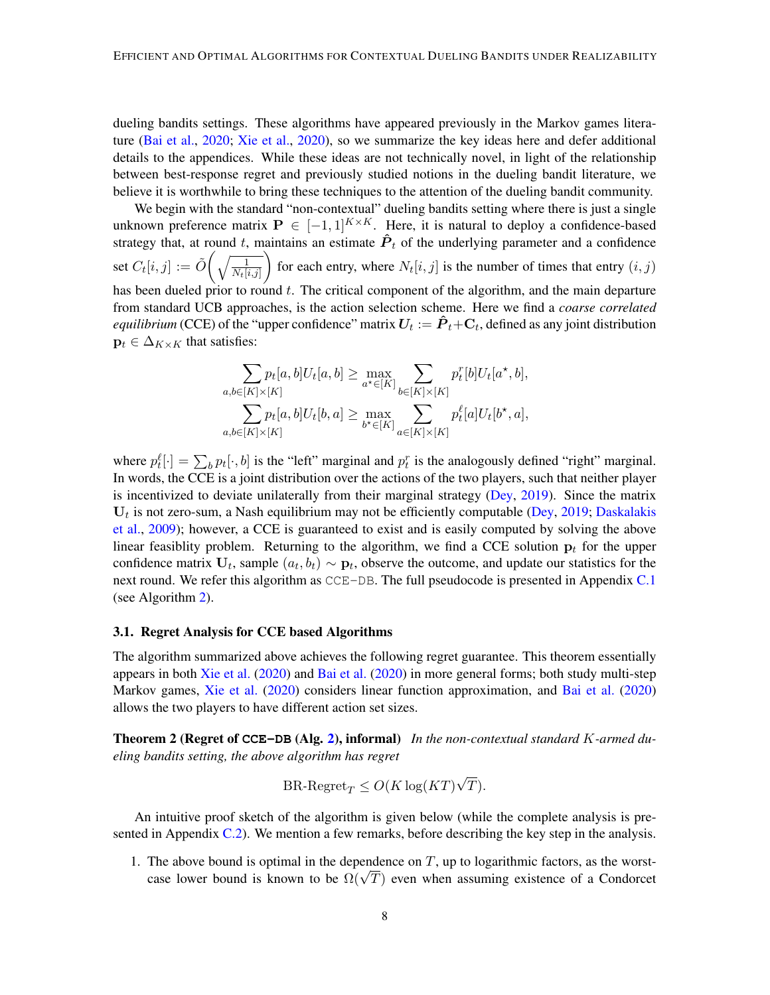dueling bandits settings. These algorithms have appeared previously in the Markov games literature [\(Bai et al.,](#page-14-9) [2020;](#page-14-9) [Xie et al.,](#page-17-9) [2020\)](#page-17-9), so we summarize the key ideas here and defer additional details to the appendices. While these ideas are not technically novel, in light of the relationship between best-response regret and previously studied notions in the dueling bandit literature, we believe it is worthwhile to bring these techniques to the attention of the dueling bandit community.

We begin with the standard "non-contextual" dueling bandits setting where there is just a single unknown preference matrix  $P \in [-1,1]^{K \times K}$ . Here, it is natural to deploy a confidence-based strategy that, at round t, maintains an estimate  $\hat{P}_t$  of the underlying parameter and a confidence set  $C_t[i,j] := \tilde O\bigg(\sqrt{\frac{1}{N_t[i,j]}}$ for each entry, where  $N_t[i, j]$  is the number of times that entry  $(i, j)$ has been dueled prior to round  $t$ . The critical component of the algorithm, and the main departure from standard UCB approaches, is the action selection scheme. Here we find a *coarse correlated equilibrium* (CCE) of the "upper confidence" matrix  $U_t := \hat{\bm{P}}_t + \bm{\mathrm{C}}_t$ , defined as any joint distribution  $\mathbf{p}_t \in \Delta_{K \times K}$  that satisfies:

$$
\sum_{a,b \in [K] \times [K]} p_t[a,b]U_t[a,b] \ge \max_{a^* \in [K]} \sum_{b \in [K] \times [K]} p_t^r[b]U_t[a^*,b],
$$
  

$$
\sum_{a,b \in [K] \times [K]} p_t[a,b]U_t[b,a] \ge \max_{b^* \in [K]} \sum_{a \in [K] \times [K]} p_t^{\ell}[a]U_t[b^*,a],
$$

where  $p_t^{\ell}[\cdot] = \sum_b p_t[\cdot, b]$  is the "left" marginal and  $p_t^r$  is the analogously defined "right" marginal. In words, the CCE is a joint distribution over the actions of the two players, such that neither player is incentivized to deviate unilaterally from their marginal strategy [\(Dey,](#page-15-11) [2019\)](#page-15-11). Since the matrix  $U_t$  is not zero-sum, a Nash equilibrium may not be efficiently computable [\(Dey,](#page-15-11) [2019;](#page-15-11) [Daskalakis](#page-14-11) [et al.,](#page-14-11) [2009\)](#page-14-11); however, a CCE is guaranteed to exist and is easily computed by solving the above linear feasiblity problem. Returning to the algorithm, we find a CCE solution  $p_t$  for the upper confidence matrix  $U_t$ , sample  $(a_t, b_t) \sim p_t$ , observe the outcome, and update our statistics for the next round. We refer this algorithm as CCE-DB. The full pseudocode is presented in Appendix [C.1](#page-20-1) (see Algorithm [2\)](#page-21-0).

#### 3.1. Regret Analysis for CCE based Algorithms

The algorithm summarized above achieves the following regret guarantee. This theorem essentially appears in both [Xie et al.](#page-17-9) [\(2020\)](#page-17-9) and [Bai et al.](#page-14-9) [\(2020\)](#page-14-9) in more general forms; both study multi-step Markov games, [Xie et al.](#page-17-9) [\(2020\)](#page-17-9) considers linear function approximation, and [Bai et al.](#page-14-9) [\(2020\)](#page-14-9) allows the two players to have different action set sizes.

<span id="page-7-0"></span>Theorem 2 (Regret of **CCE-DB** (Alg. [2\)](#page-21-0), informal) *In the non-contextual standard* K*-armed dueling bandits setting, the above algorithm has regret*

$$
\text{BR-Regret}_{T} \le O(K \log (KT)\sqrt{T}).
$$

An intuitive proof sketch of the algorithm is given below (while the complete analysis is presented in Appendix  $C.2$ ). We mention a few remarks, before describing the key step in the analysis.

1. The above bound is optimal in the dependence on  $T$ , up to logarithmic factors, as the worst-The above bound is optimal in the dependence on 1, up to logarithmic factors, as the worst-<br>case lower bound is known to be  $\Omega(\sqrt{T})$  even when assuming existence of a Condorcet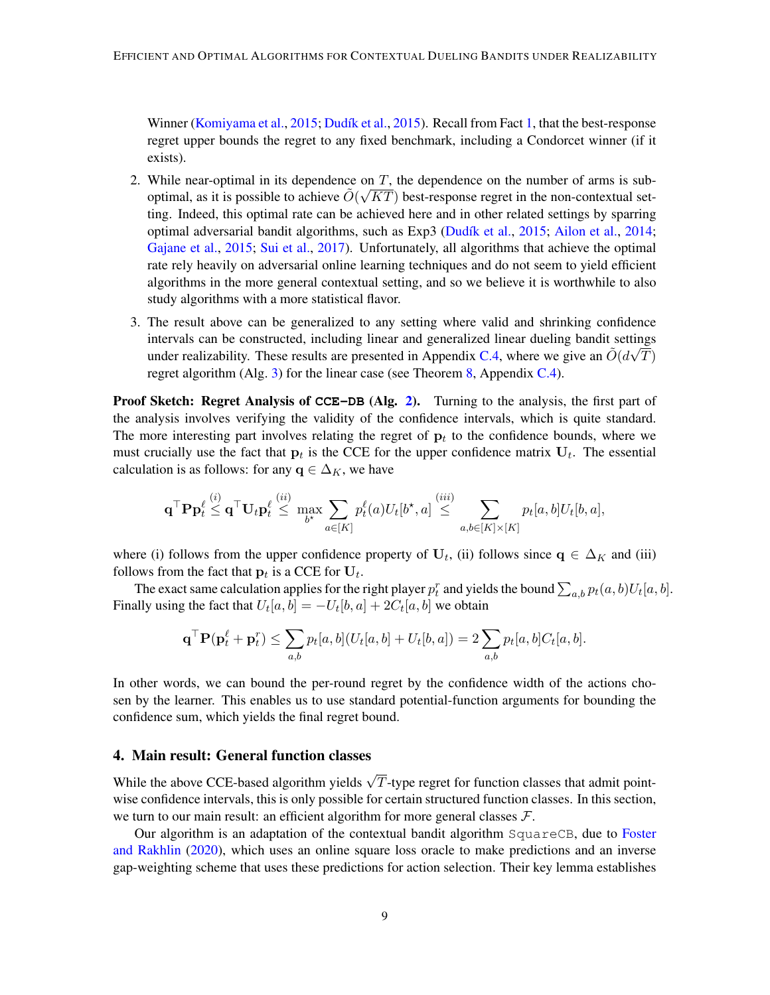Winner [\(Komiyama et al.,](#page-15-2) [2015;](#page-15-2) Dudík et al., [2015\)](#page-15-0). Recall from Fact [1,](#page-3-0) that the best-response regret upper bounds the regret to any fixed benchmark, including a Condorcet winner (if it exists).

- 2. While near-optimal in its dependence on T, the dependence on the number of arms is suboptimal, as it is possible to achieve  $\tilde{O}(\sqrt{KT})$  best-response regret in the non-contextual setting. Indeed, this optimal rate can be achieved here and in other related settings by sparring optimal adversarial bandit algorithms, such as  $Exp3$  (Dudík et al., [2015;](#page-15-0) [Ailon et al.,](#page-14-1) [2014;](#page-14-1) [Gajane et al.,](#page-15-9) [2015;](#page-15-9) [Sui et al.,](#page-17-4) [2017\)](#page-17-4). Unfortunately, all algorithms that achieve the optimal rate rely heavily on adversarial online learning techniques and do not seem to yield efficient algorithms in the more general contextual setting, and so we believe it is worthwhile to also study algorithms with a more statistical flavor.
- 3. The result above can be generalized to any setting where valid and shrinking confidence intervals can be constructed, including linear and generalized linear dueling bandit settings under realizability. These results are presented in Appendix [C.4,](#page-23-0) where we give an  $\tilde{O}(d\sqrt{T})$ regret algorithm (Alg. [3\)](#page-24-0) for the linear case (see Theorem [8,](#page-24-1) Appendix [C.4\)](#page-23-0).

Proof Sketch: Regret Analysis of **CCE-DB** (Alg. [2\)](#page-21-0). Turning to the analysis, the first part of the analysis involves verifying the validity of the confidence intervals, which is quite standard. The more interesting part involves relating the regret of  $p_t$  to the confidence bounds, where we must crucially use the fact that  $p_t$  is the CCE for the upper confidence matrix  $U_t$ . The essential calculation is as follows: for any  $q \in \Delta_K$ , we have

$$
\mathbf q^\top \mathbf P \mathbf p_t^\ell \overset{(i)}{\leq} \mathbf q^\top \mathbf U_t \mathbf p_t^\ell \overset{(ii)}{\leq} \max_{b^\star} \sum_{a \in [K]} p_t^\ell(a) U_t[b^\star,a] \overset{(iii)}{\leq} \sum_{a,b \in [K] \times [K]} p_t[a,b] U_t[b,a],
$$

where (i) follows from the upper confidence property of  $U_t$ , (ii) follows since  $q \in \Delta_K$  and (iii) follows from the fact that  $\mathbf{p}_t$  is a CCE for  $\mathbf{U}_t$ .

The exact same calculation applies for the right player  $p_t^r$  and yields the bound  $\sum_{a,b} p_t(a,b)U_t[a,b]$ . Finally using the fact that  $U_t[a, b] = -U_t[b, a] + 2C_t[a, b]$  we obtain

$$
\mathbf{q}^\top \mathbf{P}(\mathbf{p}_t^{\ell} + \mathbf{p}_t^r) \leq \sum_{a,b} p_t[a,b] (U_t[a,b] + U_t[b,a]) = 2 \sum_{a,b} p_t[a,b] C_t[a,b].
$$

In other words, we can bound the per-round regret by the confidence width of the actions chosen by the learner. This enables us to use standard potential-function arguments for bounding the confidence sum, which yields the final regret bound.

# <span id="page-8-0"></span>4. Main result: General function classes

While the above CCE-based algorithm yields  $\sqrt{T}$ -type regret for function classes that admit pointwise confidence intervals, this is only possible for certain structured function classes. In this section, we turn to our main result: an efficient algorithm for more general classes  $\mathcal{F}$ .

Our algorithm is an adaptation of the contextual bandit algorithm SquareCB, due to [Foster](#page-15-3) [and Rakhlin](#page-15-3) [\(2020\)](#page-15-3), which uses an online square loss oracle to make predictions and an inverse gap-weighting scheme that uses these predictions for action selection. Their key lemma establishes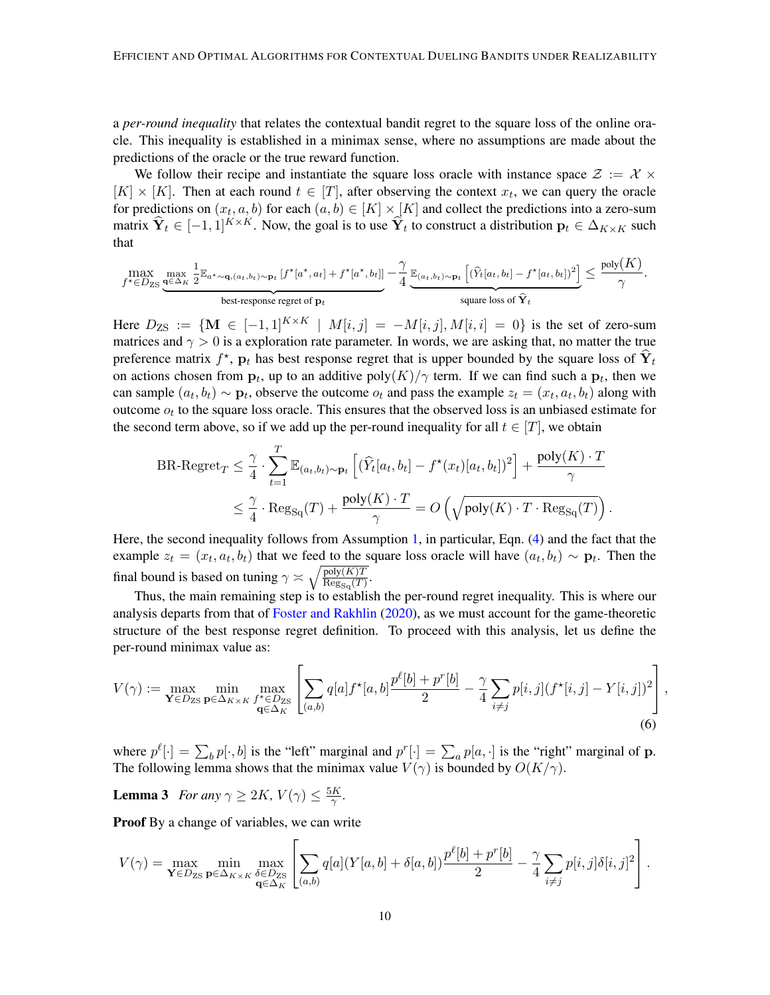a *per-round inequality* that relates the contextual bandit regret to the square loss of the online oracle. This inequality is established in a minimax sense, where no assumptions are made about the predictions of the oracle or the true reward function.

We follow their recipe and instantiate the square loss oracle with instance space  $\mathcal{Z} := \mathcal{X} \times$  $[K] \times [K]$ . Then at each round  $t \in [T]$ , after observing the context  $x_t$ , we can query the oracle for predictions on  $(x_t, a, b)$  for each  $(a, b) \in [K] \times [K]$  and collect the predictions into a zero-sum matrix  $\hat{\mathbf{Y}}_t \in [-1, 1]^{K \times K}$ . Now, the goal is to use  $\hat{\mathbf{Y}}_t$  to construct a distribution  $\mathbf{p}_t \in \Delta_{K \times K}$  such that

$$
\max_{f^{\star} \in D_{\mathrm{ZS}}} \underbrace{\max_{\mathbf{q} \in \Delta_K} \frac{1}{2} \mathbb{E}_{a^{\star} \sim \mathbf{q}, (a_t, b_t) \sim \mathbf{p}_t} \left[ f^{\star}[a^{\star}, a_t] + f^{\star}[a^{\star}, b_t] \right]}_{\text{best-response regret of } \mathbf{p}_t} - \frac{\gamma}{4} \underbrace{\mathbb{E}_{(a_t, b_t) \sim \mathbf{p}_t} \left[ (\hat{Y}_t[a_t, b_t] - f^{\star}[a_t, b_t])^2 \right]}_{\text{square loss of } \hat{\mathbf{Y}}_t} \leq \frac{\text{poly}(K)}{\gamma}.
$$

Here  $D_{\text{ZS}} := \{ \mathbf{M} \in [-1,1]^{K \times K} \mid M[i,j] = -M[i,j], M[i,i] = 0 \}$  is the set of zero-sum matrices and  $\gamma > 0$  is a exploration rate parameter. In words, we are asking that, no matter the true preference matrix  $f^*$ ,  $p_t$  has best response regret that is upper bounded by the square loss of  $\hat{Y}_t$ on actions chosen from  $\mathbf{p}_t$ , up to an additive  $poly(K)/\gamma$  term. If we can find such a  $\mathbf{p}_t$ , then we can sample  $(a_t, b_t) \sim \mathbf{p}_t$ , observe the outcome  $o_t$  and pass the example  $z_t = (x_t, a_t, b_t)$  along with outcome  $o_t$  to the square loss oracle. This ensures that the observed loss is an unbiased estimate for the second term above, so if we add up the per-round inequality for all  $t \in [T]$ , we obtain

$$
\text{BR-Regret}_{T} \leq \frac{\gamma}{4} \cdot \sum_{t=1}^{T} \mathbb{E}_{(a_t, b_t) \sim \mathbf{p}_t} \left[ (\widehat{Y}_t[a_t, b_t] - f^{\star}(x_t)[a_t, b_t])^2 \right] + \frac{\text{poly}(K) \cdot T}{\gamma}
$$

$$
\leq \frac{\gamma}{4} \cdot \text{Reg}_{\text{Sq}}(T) + \frac{\text{poly}(K) \cdot T}{\gamma} = O\left(\sqrt{\text{poly}(K) \cdot T \cdot \text{Reg}_{\text{Sq}}(T)}\right).
$$

Here, the second inequality follows from Assumption [1,](#page-5-3) in particular, Eqn. [\(4\)](#page-5-4) and the fact that the example  $z_t = (x_t, a_t, b_t)$  that we feed to the square loss oracle will have  $(a_t, b_t) \sim \mathbf{p}_t$ . Then the final bound is based on tuning  $\gamma \asymp \sqrt{\frac{\text{poly}(K)T}{\text{Re} \sigma_{\text{max}}(T)}}$  $\frac{\text{poly}(K)T}{\text{Reg}_{\text{Sq}}(T)}$ .

Thus, the main remaining step is to establish the per-round regret inequality. This is where our analysis departs from that of [Foster and Rakhlin](#page-15-3) [\(2020\)](#page-15-3), as we must account for the game-theoretic structure of the best response regret definition. To proceed with this analysis, let us define the per-round minimax value as:

$$
V(\gamma) := \max_{\mathbf{Y} \in D_{\text{ZS}}} \min_{\mathbf{p} \in \Delta_{K \times K}} \max_{f^* \in D_{\text{ZS}}} \left[ \sum_{(a,b)} q[a] f^*[a,b] \frac{p^{\ell}[b] + p^*[b]}{2} - \frac{\gamma}{4} \sum_{i \neq j} p[i,j] (f^*[i,j] - Y[i,j])^2 \right],
$$
\n(6)

where  $p^{\ell}[\cdot] = \sum_b p[\cdot, b]$  is the "left" marginal and  $p^r[\cdot] = \sum_a p[a, \cdot]$  is the "right" marginal of **p**. The following lemma shows that the minimax value  $V(\gamma)$  is bounded by  $O(K/\gamma)$ .

<span id="page-9-0"></span>**Lemma 3** *For any*  $\gamma \geq 2K$ ,  $V(\gamma) \leq \frac{5K}{\gamma}$  $\frac{K}{\gamma}$ .

Proof By a change of variables, we can write

$$
V(\gamma) = \max_{\mathbf{Y} \in D_{\text{ZS}}} \min_{\mathbf{p} \in \Delta_{K \times K}} \max_{\delta \in D_{\text{ZS}} \atop \mathbf{q} \in \Delta_{K}} \left[ \sum_{(a,b)} q[a] (Y[a,b] + \delta[a,b]) \frac{p^{\ell}[b] + p^{r}[b]}{2} - \frac{\gamma}{4} \sum_{i \neq j} p[i,j] \delta[i,j]^2 \right].
$$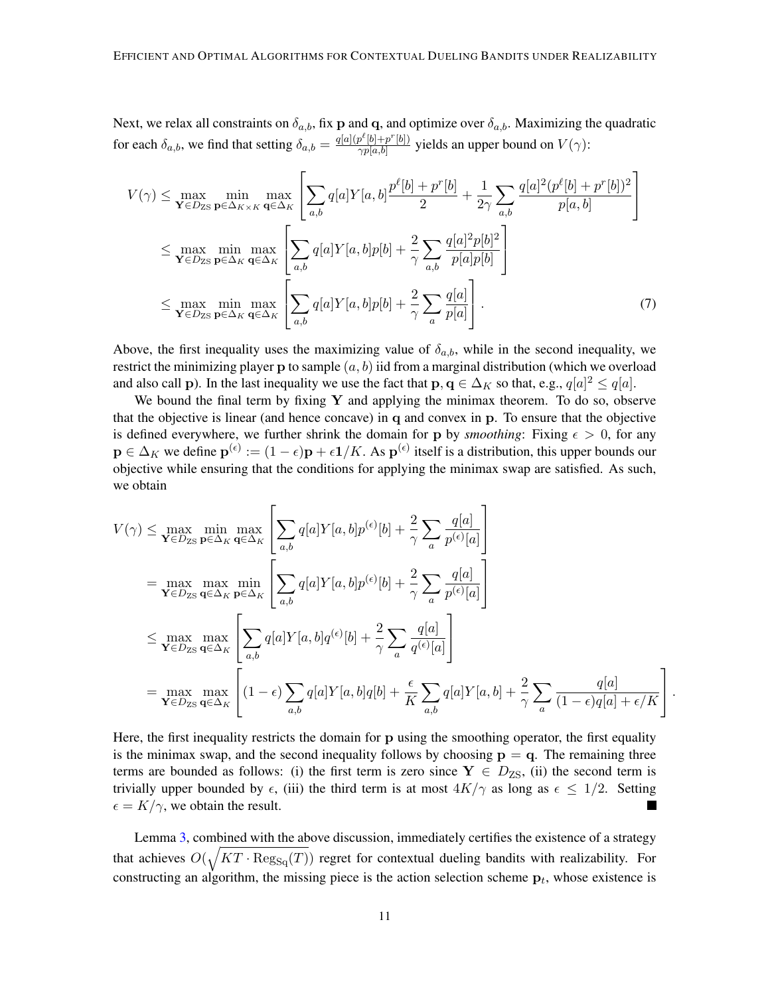Next, we relax all constraints on  $\delta_{a,b}$ , fix p and q, and optimize over  $\delta_{a,b}$ . Maximizing the quadratic for each  $\delta_{a,b}$ , we find that setting  $\delta_{a,b} = \frac{q[a](p^{\ell}[b]+p^{\ell}[b])}{\gamma p[a,b]}$  $\frac{p^{\nu}[0]+p^{\nu}[0]}{\gamma p[a,b]}$  yields an upper bound on  $V(\gamma)$ :

<span id="page-10-0"></span>
$$
V(\gamma) \leq \max_{\mathbf{Y} \in D_{\text{ZS}}} \min_{\mathbf{p} \in \Delta_{K \times K}} \max_{\mathbf{q} \in \Delta_{K}} \left[ \sum_{a,b} q[a] Y[a,b] \frac{p^{\ell}[b] + p^{r}[b]}{2} + \frac{1}{2\gamma} \sum_{a,b} \frac{q[a]^2 (p^{\ell}[b] + p^{r}[b])^2}{p[a,b]} \right]
$$
  
\n
$$
\leq \max_{\mathbf{Y} \in D_{\text{ZS}}} \min_{\mathbf{p} \in \Delta_{K}} \max_{\mathbf{q} \in \Delta_{K}} \left[ \sum_{a,b} q[a] Y[a,b] p[b] + \frac{2}{\gamma} \sum_{a,b} \frac{q[a]^2 p[b]^2}{p[a] p[b]} \right]
$$
  
\n
$$
\leq \max_{\mathbf{Y} \in D_{\text{ZS}}} \min_{\mathbf{p} \in \Delta_{K}} \max_{\mathbf{q} \in \Delta_{K}} \left[ \sum_{a,b} q[a] Y[a,b] p[b] + \frac{2}{\gamma} \sum_{a} \frac{q[a]}{p[a]} \right].
$$
 (7)

Above, the first inequality uses the maximizing value of  $\delta_{a,b}$ , while in the second inequality, we restrict the minimizing player  $\mathbf p$  to sample  $(a, b)$  iid from a marginal distribution (which we overload and also call p). In the last inequality we use the fact that  $p, q \in \Delta_K$  so that, e.g.,  $q[a]^2 \le q[a]$ .

We bound the final term by fixing  $Y$  and applying the minimax theorem. To do so, observe that the objective is linear (and hence concave) in q and convex in p. To ensure that the objective is defined everywhere, we further shrink the domain for p by *smoothing*: Fixing  $\epsilon > 0$ , for any  $\mathbf{p} \in \Delta_K$  we define  $\mathbf{p}^{(\epsilon)} := (1 - \epsilon)\mathbf{p} + \epsilon \mathbf{1}/K$ . As  $\mathbf{p}^{(\epsilon)}$  itself is a distribution, this upper bounds our objective while ensuring that the conditions for applying the minimax swap are satisfied. As such, we obtain

$$
V(\gamma) \leq \max_{\mathbf{Y} \in D_{\text{ZS}}}\min_{\mathbf{p} \in \Delta_K} \max_{\mathbf{q} \in \Delta_K} \left[ \sum_{a,b} q[a] Y[a,b] p^{(\epsilon)}[b] + \frac{2}{\gamma} \sum_a \frac{q[a]}{p^{(\epsilon)}[a]} \right]
$$
  
\n
$$
= \max_{\mathbf{Y} \in D_{\text{ZS}}}\max_{\mathbf{q} \in \Delta_K} \min_{\mathbf{p} \in \Delta_K} \left[ \sum_{a,b} q[a] Y[a,b] p^{(\epsilon)}[b] + \frac{2}{\gamma} \sum_a \frac{q[a]}{p^{(\epsilon)}[a]} \right]
$$
  
\n
$$
\leq \max_{\mathbf{Y} \in D_{\text{ZS}}}\max_{\mathbf{q} \in \Delta_K} \left[ \sum_{a,b} q[a] Y[a,b] q^{(\epsilon)}[b] + \frac{2}{\gamma} \sum_a \frac{q[a]}{q^{(\epsilon)}[a]} \right]
$$
  
\n
$$
= \max_{\mathbf{Y} \in D_{\text{ZS}}}\max_{\mathbf{q} \in \Delta_K} \left[ (1-\epsilon) \sum_{a,b} q[a] Y[a,b] q[b] + \frac{\epsilon}{K} \sum_{a,b} q[a] Y[a,b] + \frac{2}{\gamma} \sum_a \frac{q[a]}{(1-\epsilon)q[a] + \epsilon/K} \right].
$$

Here, the first inequality restricts the domain for p using the smoothing operator, the first equality is the minimax swap, and the second inequality follows by choosing  $p = q$ . The remaining three terms are bounded as follows: (i) the first term is zero since  $Y \in D_{\text{ZS}}$ , (ii) the second term is trivially upper bounded by  $\epsilon$ , (iii) the third term is at most  $4K/\gamma$  as long as  $\epsilon \leq 1/2$ . Setting  $\epsilon = K/\gamma$ , we obtain the result.

Lemma [3,](#page-9-0) combined with the above discussion, immediately certifies the existence of a strategy that achieves  $O(\sqrt{KT \cdot \text{Reg}_{Sq}(T)})$  regret for contextual dueling bandits with realizability. For constructing an algorithm, the missing piece is the action selection scheme  $p_t$ , whose existence is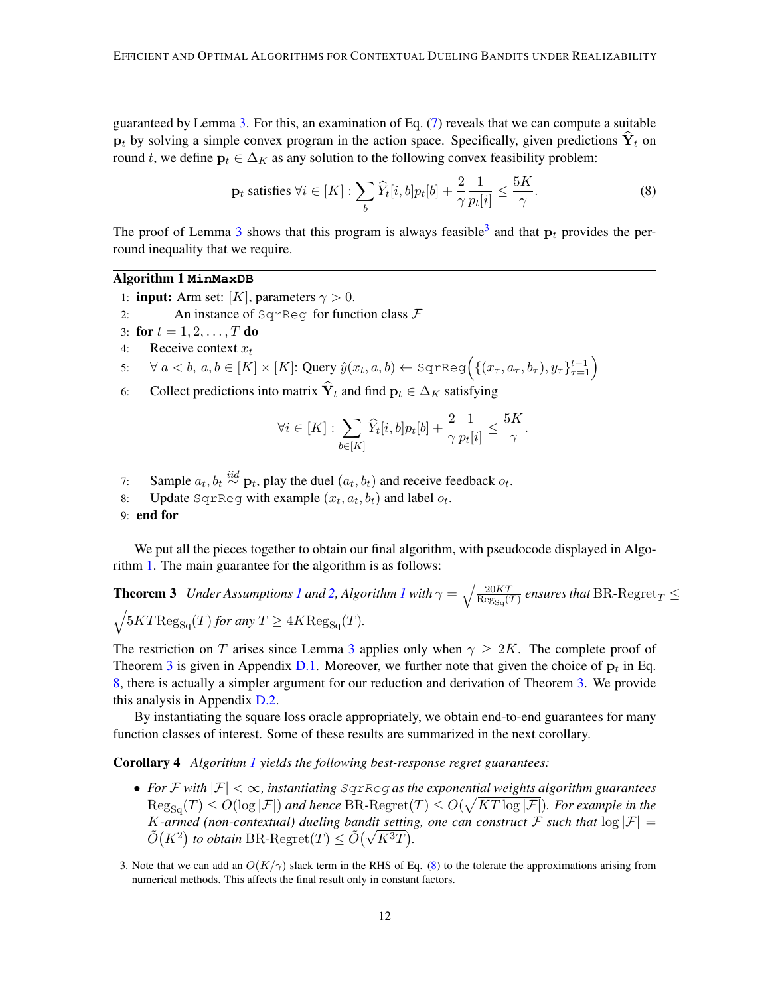guaranteed by Lemma [3.](#page-9-0) For this, an examination of Eq. [\(7\)](#page-10-0) reveals that we can compute a suitable  $p_t$  by solving a simple convex program in the action space. Specifically, given predictions  $Y_t$  on round t, we define  $\mathbf{p}_t \in \Delta_K$  as any solution to the following convex feasibility problem:

<span id="page-11-4"></span>
$$
\mathbf{p}_t \text{ satisfies } \forall i \in [K]: \sum_b \widehat{Y}_t[i, b] p_t[b] + \frac{2}{\gamma} \frac{1}{p_t[i]} \le \frac{5K}{\gamma}.\tag{8}
$$

The proof of Lemma [3](#page-11-1) shows that this program is always feasible<sup>3</sup> and that  $p_t$  provides the perround inequality that we require.

# Algorithm 1 **MinMaxDB**

- <span id="page-11-2"></span>1: **input:** Arm set: [K], parameters  $\gamma > 0$ .
- 2: An instance of  $SgrReg$  for function class  $\mathcal F$
- 3: for  $t = 1, 2, ..., T$  do
- 4: Receive context  $x_t$

5: 
$$
\forall a < b, a, b \in [K] \times [K]: \text{Query } \hat{y}(x_t, a, b) \leftarrow \text{SgrReg}\left(\{(x_{\tau}, a_{\tau}, b_{\tau}), y_{\tau}\}_{\tau=1}^{t-1}\right)
$$

6: Collect predictions into matrix  $\hat{\mathbf{Y}}_t$  and find  $\mathbf{p}_t \in \Delta_K$  satisfying

<span id="page-11-3"></span>
$$
\forall i \in [K]: \sum_{b \in [K]} \widehat{Y}_t[i, b] p_t[b] + \frac{2}{\gamma} \frac{1}{p_t[i]} \leq \frac{5K}{\gamma}.
$$

- 7: Sample  $a_t, b_t \stackrel{iid}{\sim} \mathbf{p}_t$ , play the duel  $(a_t, b_t)$  and receive feedback  $o_t$ .
- 8: Update SqrReg with example  $(x_t, a_t, b_t)$  and label  $o_t$ .

9: end for

We put all the pieces together to obtain our final algorithm, with pseudocode displayed in Algorithm [1.](#page-11-2) The main guarantee for the algorithm is as follows:

# **Theorem 3** *Under Assumptions [1](#page-11-2) and [2,](#page-6-2) Algorithm 1 with*  $\gamma = \sqrt{\frac{20KT}{\text{Re}\sigma^2(T)}}$  $\frac{20KT}{\text{Reg}_{\text{Sq}}(T)}$  ensures that  $\text{BR-Regret}_T \leq$  $\sqrt{5KT\text{Reg}_{\text{Sq}}(T)}$  *for any*  $T \geq 4K\text{Reg}_{\text{Sq}}(T)$ *.*

The restriction on T arises since Lemma [3](#page-9-0) applies only when  $\gamma \geq 2K$ . The complete proof of Theorem [3](#page-11-3) is given in Appendix [D.1.](#page-25-0) Moreover, we further note that given the choice of  $p_t$  in Eq. [8,](#page-11-4) there is actually a simpler argument for our reduction and derivation of Theorem [3.](#page-11-3) We provide this analysis in Appendix [D.2.](#page-25-1)

By instantiating the square loss oracle appropriately, we obtain end-to-end guarantees for many function classes of interest. Some of these results are summarized in the next corollary.

<span id="page-11-0"></span>Corollary 4 *Algorithm [1](#page-11-2) yields the following best-response regret guarantees:*

• *For* F *with* |F| < ∞*, instantiating* SqrReg *as the exponential weights algorithm guarantees*  $\text{Reg}_{\text{Sq}}(T) \leq O(\log |\mathcal{F}|)$  and hence BR- $\text{Regret}(T) \leq O(\sqrt{KT \log |\mathcal{F}|})$ . For example in the K-armed (non-contextual) dueling bandit setting, one can construct F such that  $\log |\mathcal{F}| =$ *K*-armea (non-contextual) dueling bandit setting  $\tilde{O}(K^2)$  to obtain BR-Regret $(T) \leq \tilde{O}(\sqrt{K^3T})$ .

<span id="page-11-1"></span><sup>3.</sup> Note that we can add an  $O(K/\gamma)$  slack term in the RHS of Eq. [\(8\)](#page-11-4) to the tolerate the approximations arising from numerical methods. This affects the final result only in constant factors.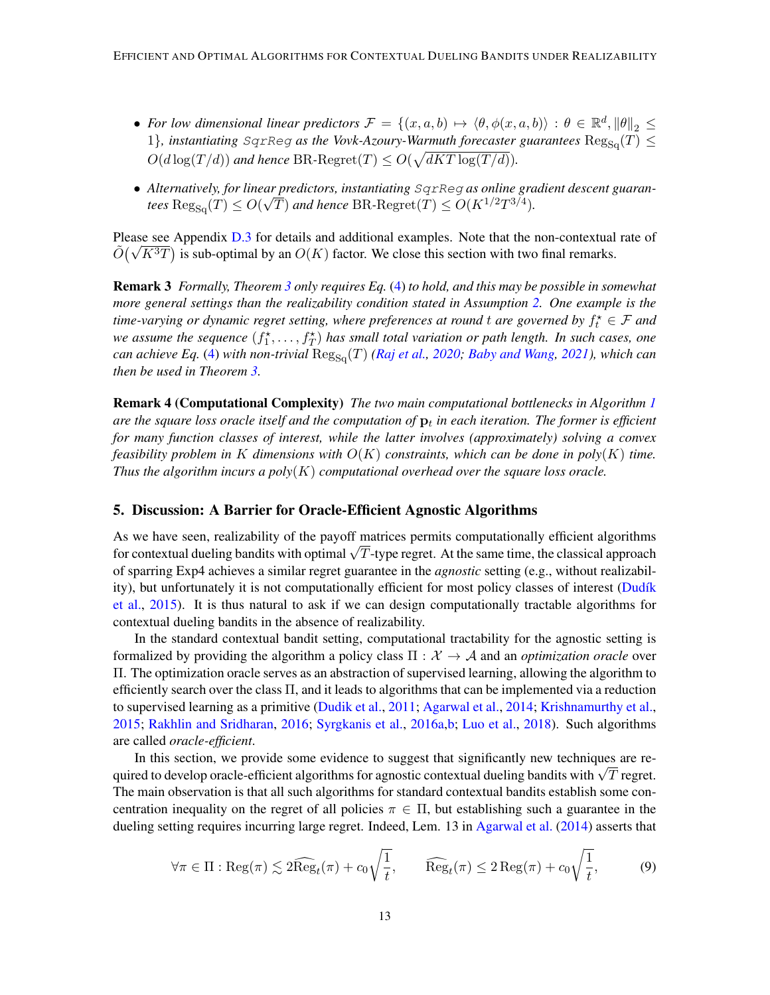- For low dimensional linear predictors  $\mathcal{F} = \{(x, a, b) \mapsto \langle \theta, \phi(x, a, b) \rangle : \theta \in \mathbb{R}^d, \|\theta\|_2 \leq$ 1}, instantiating SqrReg as the Vovk-Azoury-Warmuth forecaster guarantees  $\text{Reg}_{\text{Sq}}(T) \leq$  $O(d \log(T/d))$  and hence BR-Regret $(T) \leq O(\sqrt{dKT \log(T/d)})$ .
- *Alternatively, for linear predictors, instantiating* SqrReg *as online gradient descent guaran-*√  $\text{deg}_{\text{Sq}}(T) \leq O(\sqrt{T})$  and hence  $\text{BR-Regret}(T) \leq O(K^{1/2}T^{3/4}).$

Please see Appendix [D.3](#page-26-1) for details and additional examples. Note that the non-contextual rate of Please see Appendix D.3 for details and additional examples. Note that the non-contextual  $\tilde{O}(\sqrt{K^3T})$  is sub-optimal by an  $O(K)$  factor. We close this section with two final remarks.

Remark 3 *Formally, Theorem [3](#page-11-3) only requires Eq.* [\(4\)](#page-5-4) *to hold, and this may be possible in somewhat more general settings than the realizability condition stated in Assumption [2.](#page-6-2) One example is the* time-varying or dynamic regret setting, where preferences at round t are governed by  $f_t^{\star} \in \mathcal{F}$  and we assume the sequence  $(f_1^*,...,f_T^*)$  has small total variation or path length. In such cases, one *can achieve Eq.* [\(4\)](#page-5-4) *with non-trivial*  $\text{Reg}_{\text{Sq}}(T)$  *[\(Raj et al.,](#page-16-13) [2020;](#page-16-13) [Baby and Wang,](#page-14-12) [2021\)](#page-14-12), which can then be used in Theorem [3.](#page-11-3)*

Remark 4 (Computational Complexity) *The two main computational bottlenecks in Algorithm [1](#page-11-2)* are the square loss oracle itself and the computation of  $\mathbf{p}_t$  in each iteration. The former is efficient *for many function classes of interest, while the latter involves (approximately) solving a convex feasibility problem in* K *dimensions with* O(K) *constraints, which can be done in poly*(K) *time. Thus the algorithm incurs a poly*(K) *computational overhead over the square loss oracle.*

# <span id="page-12-0"></span>5. Discussion: A Barrier for Oracle-Efficient Agnostic Algorithms

As we have seen, realizability of the payoff matrices permits computationally efficient algorithms As we nave seen, reanzability of the payoff matrices permits computationally efficient algorithms for contextual dueling bandits with optimal  $\sqrt{T}$ -type regret. At the same time, the classical approach of sparring Exp4 achieves a similar regret guarantee in the *agnostic* setting (e.g., without realizability), but unfortunately it is not computationally efficient for most policy classes of interest (Dudík [et al.,](#page-15-0) [2015\)](#page-15-0). It is thus natural to ask if we can design computationally tractable algorithms for contextual dueling bandits in the absence of realizability.

In the standard contextual bandit setting, computational tractability for the agnostic setting is formalized by providing the algorithm a policy class  $\Pi : \mathcal{X} \to \mathcal{A}$  and an *optimization oracle* over Π. The optimization oracle serves as an abstraction of supervised learning, allowing the algorithm to efficiently search over the class  $\Pi$ , and it leads to algorithms that can be implemented via a reduction to supervised learning as a primitive [\(Dudik et al.,](#page-15-12) [2011;](#page-15-12) [Agarwal et al.,](#page-14-13) [2014;](#page-14-13) [Krishnamurthy et al.,](#page-15-13) [2015;](#page-15-13) [Rakhlin and Sridharan,](#page-16-14) [2016;](#page-16-14) [Syrgkanis et al.,](#page-17-10) [2016a](#page-17-10)[,b;](#page-17-11) [Luo et al.,](#page-16-15) [2018\)](#page-16-15). Such algorithms are called *oracle-efficient*.

In this section, we provide some evidence to suggest that significantly new techniques are re-In this section, we provide some evidence to suggest that significantly new techniques are re-<br>quired to develop oracle-efficient algorithms for agnostic contextual dueling bandits with  $\sqrt{T}$  regret. The main observation is that all such algorithms for standard contextual bandits establish some concentration inequality on the regret of all policies  $\pi \in \Pi$ , but establishing such a guarantee in the dueling setting requires incurring large regret. Indeed, Lem. 13 in [Agarwal et al.](#page-14-13) [\(2014\)](#page-14-13) asserts that

<span id="page-12-1"></span>
$$
\forall \pi \in \Pi : \text{Reg}(\pi) \lesssim 2\widehat{\text{Reg}}_t(\pi) + c_0 \sqrt{\frac{1}{t}}, \qquad \widehat{\text{Reg}}_t(\pi) \le 2\text{Reg}(\pi) + c_0 \sqrt{\frac{1}{t}}, \tag{9}
$$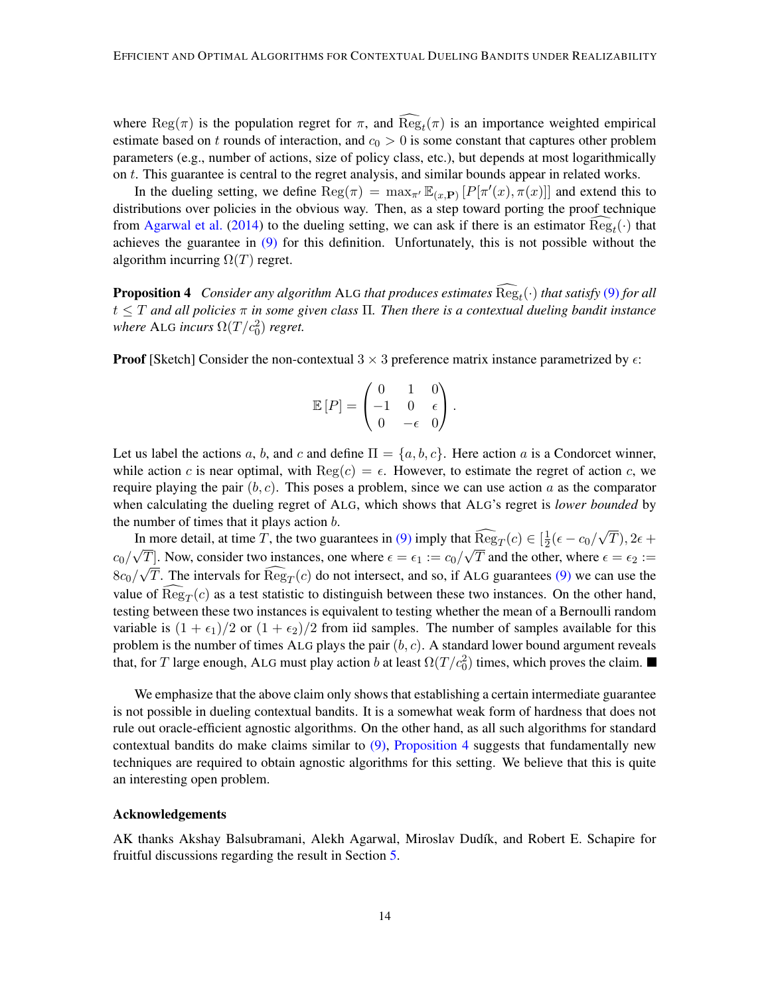where  $\text{Reg}(\pi)$  is the population regret for  $\pi$ , and  $\text{Reg}_t(\pi)$  is an importance weighted empirical estimate based on t rounds of interaction, and  $c_0 > 0$  is some constant that captures other problem parameters (e.g., number of actions, size of policy class, etc.), but depends at most logarithmically on t. This guarantee is central to the regret analysis, and similar bounds appear in related works.

In the dueling setting, we define  $\text{Reg}(\pi) = \max_{\pi} \mathbb{E}_{(x,\textbf{P})} [P[\pi'(x), \pi(x)]]$  and extend this to distributions over policies in the obvious way. Then, as a step toward porting the proof technique from [Agarwal et al.](#page-14-13) [\(2014\)](#page-14-13) to the dueling setting, we can ask if there is an estimator  $\text{Reg}_t(\cdot)$  that achieves the guarantee in  $(9)$  for this definition. Unfortunately, this is not possible without the algorithm incurring  $\Omega(T)$  regret.

<span id="page-13-0"></span>**Proposition 4** Consider any algorithm ALG that produces estimates  $\text{Reg}_t(\cdot)$  that satisfy [\(9\)](#page-12-1) for all t ≤ T *and all policies* π *in some given class* Π*. Then there is a contextual dueling bandit instance* where ALG incurs  $\Omega(T/c_0^2)$  regret.

**Proof** [Sketch] Consider the non-contextual  $3 \times 3$  preference matrix instance parametrized by  $\epsilon$ :

$$
\mathbb{E}[P] = \begin{pmatrix} 0 & 1 & 0 \\ -1 & 0 & \epsilon \\ 0 & -\epsilon & 0 \end{pmatrix}.
$$

Let us label the actions a, b, and c and define  $\Pi = \{a, b, c\}$ . Here action a is a Condorcet winner, while action c is near optimal, with  $\text{Reg}(c) = \epsilon$ . However, to estimate the regret of action c, we require playing the pair  $(b, c)$ . This poses a problem, since we can use action a as the comparator when calculating the dueling regret of ALG, which shows that ALG's regret is *lower bounded* by the number of times that it plays action  $b$ . √

In more detail, at time T, the two guarantees in [\(9\)](#page-12-1) imply that  $\widehat{\text{Reg}}_T(c) \in [\frac{1}{2}]$  $\frac{1}{2}(\epsilon-c_0/$ In more detail, at time T, the two guarantees in (9) imply that  $\text{Reg}_T(c) \in \left[\frac{1}{2}(\epsilon - c_0/\sqrt{T}), 2\epsilon + \frac{1}{2}\right]$  $c_0/\sqrt{T}$ . Now, consider two instances, one where  $\epsilon = \epsilon_1 := c_0/\sqrt{T}$  and the other, where  $\epsilon = \epsilon_2 :=$  $8c_0/\sqrt{T}$ . The intervals for  $\text{Reg}_T(c)$  do not intersect, and so, if ALG guarantees [\(9\)](#page-12-1) we can use the value of  $\text{Reg}_T(c)$  as a test statistic to distinguish between these two instances. On the other hand, testing between these two instances is equivalent to testing whether the mean of a Bernoulli random variable is  $(1 + \epsilon_1)/2$  or  $(1 + \epsilon_2)/2$  from iid samples. The number of samples available for this problem is the number of times ALG plays the pair  $(b, c)$ . A standard lower bound argument reveals that, for T large enough, ALG must play action b at least  $\Omega(T/c_0^2)$  times, which proves the claim.

We emphasize that the above claim only shows that establishing a certain intermediate guarantee is not possible in dueling contextual bandits. It is a somewhat weak form of hardness that does not rule out oracle-efficient agnostic algorithms. On the other hand, as all such algorithms for standard contextual bandits do make claims similar to  $(9)$ , [Proposition 4](#page-13-0) suggests that fundamentally new techniques are required to obtain agnostic algorithms for this setting. We believe that this is quite an interesting open problem.

#### Acknowledgements

AK thanks Akshay Balsubramani, Alekh Agarwal, Miroslav Dudík, and Robert E. Schapire for fruitful discussions regarding the result in Section [5.](#page-12-0)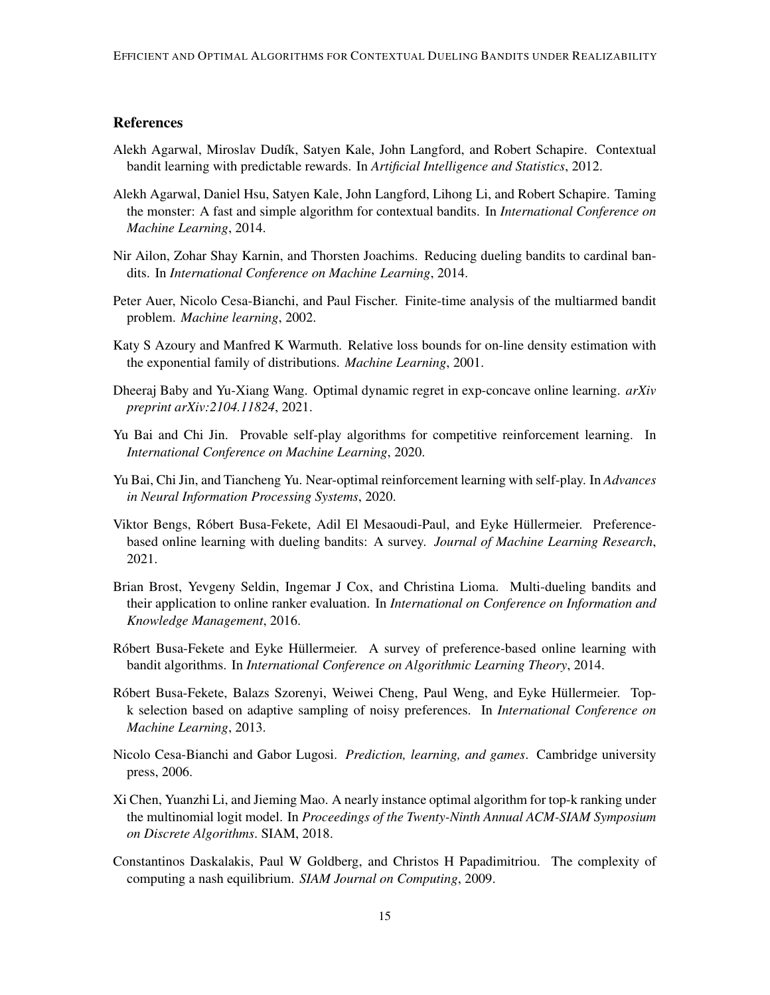# References

- <span id="page-14-3"></span>Alekh Agarwal, Miroslav Dud´ık, Satyen Kale, John Langford, and Robert Schapire. Contextual bandit learning with predictable rewards. In *Artificial Intelligence and Statistics*, 2012.
- <span id="page-14-13"></span>Alekh Agarwal, Daniel Hsu, Satyen Kale, John Langford, Lihong Li, and Robert Schapire. Taming the monster: A fast and simple algorithm for contextual bandits. In *International Conference on Machine Learning*, 2014.
- <span id="page-14-1"></span>Nir Ailon, Zohar Shay Karnin, and Thorsten Joachims. Reducing dueling bandits to cardinal bandits. In *International Conference on Machine Learning*, 2014.
- <span id="page-14-0"></span>Peter Auer, Nicolo Cesa-Bianchi, and Paul Fischer. Finite-time analysis of the multiarmed bandit problem. *Machine learning*, 2002.
- <span id="page-14-14"></span>Katy S Azoury and Manfred K Warmuth. Relative loss bounds for on-line density estimation with the exponential family of distributions. *Machine Learning*, 2001.
- <span id="page-14-12"></span>Dheeraj Baby and Yu-Xiang Wang. Optimal dynamic regret in exp-concave online learning. *arXiv preprint arXiv:2104.11824*, 2021.
- <span id="page-14-8"></span>Yu Bai and Chi Jin. Provable self-play algorithms for competitive reinforcement learning. In *International Conference on Machine Learning*, 2020.
- <span id="page-14-9"></span>Yu Bai, Chi Jin, and Tiancheng Yu. Near-optimal reinforcement learning with self-play. In *Advances in Neural Information Processing Systems*, 2020.
- <span id="page-14-7"></span>Viktor Bengs, Róbert Busa-Fekete, Adil El Mesaoudi-Paul, and Eyke Hüllermeier. Preferencebased online learning with dueling bandits: A survey. *Journal of Machine Learning Research*, 2021.
- <span id="page-14-2"></span>Brian Brost, Yevgeny Seldin, Ingemar J Cox, and Christina Lioma. Multi-dueling bandits and their application to online ranker evaluation. In *International on Conference on Information and Knowledge Management*, 2016.
- <span id="page-14-4"></span>Róbert Busa-Fekete and Eyke Hüllermeier. A survey of preference-based online learning with bandit algorithms. In *International Conference on Algorithmic Learning Theory*, 2014.
- <span id="page-14-5"></span>Róbert Busa-Fekete, Balazs Szorenyi, Weiwei Cheng, Paul Weng, and Eyke Hüllermeier. Topk selection based on adaptive sampling of noisy preferences. In *International Conference on Machine Learning*, 2013.
- <span id="page-14-10"></span>Nicolo Cesa-Bianchi and Gabor Lugosi. *Prediction, learning, and games*. Cambridge university press, 2006.
- <span id="page-14-6"></span>Xi Chen, Yuanzhi Li, and Jieming Mao. A nearly instance optimal algorithm for top-k ranking under the multinomial logit model. In *Proceedings of the Twenty-Ninth Annual ACM-SIAM Symposium on Discrete Algorithms*. SIAM, 2018.
- <span id="page-14-11"></span>Constantinos Daskalakis, Paul W Goldberg, and Christos H Papadimitriou. The complexity of computing a nash equilibrium. *SIAM Journal on Computing*, 2009.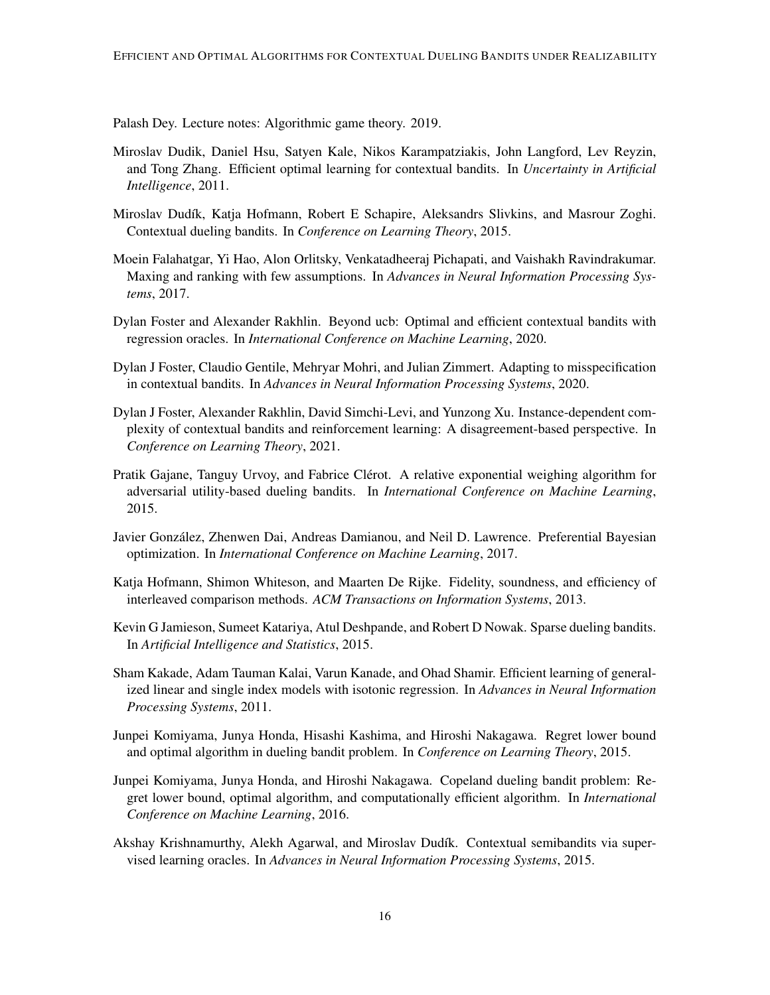<span id="page-15-11"></span>Palash Dey. Lecture notes: Algorithmic game theory. 2019.

- <span id="page-15-12"></span>Miroslav Dudik, Daniel Hsu, Satyen Kale, Nikos Karampatziakis, John Langford, Lev Reyzin, and Tong Zhang. Efficient optimal learning for contextual bandits. In *Uncertainty in Artificial Intelligence*, 2011.
- <span id="page-15-0"></span>Miroslav Dudík, Katja Hofmann, Robert E Schapire, Aleksandrs Slivkins, and Masrour Zoghi. Contextual dueling bandits. In *Conference on Learning Theory*, 2015.
- <span id="page-15-7"></span>Moein Falahatgar, Yi Hao, Alon Orlitsky, Venkatadheeraj Pichapati, and Vaishakh Ravindrakumar. Maxing and ranking with few assumptions. In *Advances in Neural Information Processing Systems*, 2017.
- <span id="page-15-3"></span>Dylan Foster and Alexander Rakhlin. Beyond ucb: Optimal and efficient contextual bandits with regression oracles. In *International Conference on Machine Learning*, 2020.
- <span id="page-15-4"></span>Dylan J Foster, Claudio Gentile, Mehryar Mohri, and Julian Zimmert. Adapting to misspecification in contextual bandits. In *Advances in Neural Information Processing Systems*, 2020.
- <span id="page-15-5"></span>Dylan J Foster, Alexander Rakhlin, David Simchi-Levi, and Yunzong Xu. Instance-dependent complexity of contextual bandits and reinforcement learning: A disagreement-based perspective. In *Conference on Learning Theory*, 2021.
- <span id="page-15-9"></span>Pratik Gajane, Tanguy Urvoy, and Fabrice Clérot. A relative exponential weighing algorithm for adversarial utility-based dueling bandits. In *International Conference on Machine Learning*, 2015.
- <span id="page-15-10"></span>Javier Gonzalez, Zhenwen Dai, Andreas Damianou, and Neil D. Lawrence. Preferential Bayesian ´ optimization. In *International Conference on Machine Learning*, 2017.
- <span id="page-15-1"></span>Katja Hofmann, Shimon Whiteson, and Maarten De Rijke. Fidelity, soundness, and efficiency of interleaved comparison methods. *ACM Transactions on Information Systems*, 2013.
- <span id="page-15-6"></span>Kevin G Jamieson, Sumeet Katariya, Atul Deshpande, and Robert D Nowak. Sparse dueling bandits. In *Artificial Intelligence and Statistics*, 2015.
- <span id="page-15-14"></span>Sham Kakade, Adam Tauman Kalai, Varun Kanade, and Ohad Shamir. Efficient learning of generalized linear and single index models with isotonic regression. In *Advances in Neural Information Processing Systems*, 2011.
- <span id="page-15-2"></span>Junpei Komiyama, Junya Honda, Hisashi Kashima, and Hiroshi Nakagawa. Regret lower bound and optimal algorithm in dueling bandit problem. In *Conference on Learning Theory*, 2015.
- <span id="page-15-8"></span>Junpei Komiyama, Junya Honda, and Hiroshi Nakagawa. Copeland dueling bandit problem: Regret lower bound, optimal algorithm, and computationally efficient algorithm. In *International Conference on Machine Learning*, 2016.
- <span id="page-15-13"></span>Akshay Krishnamurthy, Alekh Agarwal, and Miroslav Dudík. Contextual semibandits via supervised learning oracles. In *Advances in Neural Information Processing Systems*, 2015.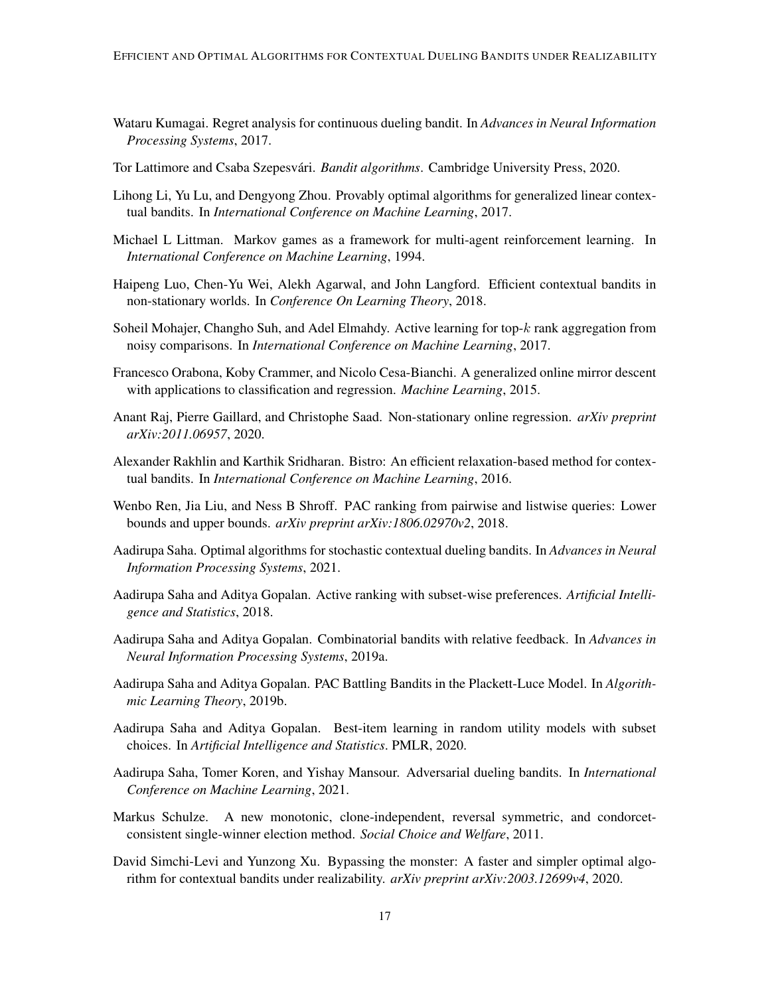- <span id="page-16-10"></span>Wataru Kumagai. Regret analysis for continuous dueling bandit. In *Advances in Neural Information Processing Systems*, 2017.
- <span id="page-16-0"></span>Tor Lattimore and Csaba Szepesvári. *Bandit algorithms*. Cambridge University Press, 2020.
- <span id="page-16-17"></span>Lihong Li, Yu Lu, and Dengyong Zhou. Provably optimal algorithms for generalized linear contextual bandits. In *International Conference on Machine Learning*, 2017.
- <span id="page-16-12"></span>Michael L Littman. Markov games as a framework for multi-agent reinforcement learning. In *International Conference on Machine Learning*, 1994.
- <span id="page-16-15"></span>Haipeng Luo, Chen-Yu Wei, Alekh Agarwal, and John Langford. Efficient contextual bandits in non-stationary worlds. In *Conference On Learning Theory*, 2018.
- <span id="page-16-9"></span>Soheil Mohajer, Changho Suh, and Adel Elmahdy. Active learning for top-k rank aggregation from noisy comparisons. In *International Conference on Machine Learning*, 2017.
- <span id="page-16-16"></span>Francesco Orabona, Koby Crammer, and Nicolo Cesa-Bianchi. A generalized online mirror descent with applications to classification and regression. *Machine Learning*, 2015.
- <span id="page-16-13"></span>Anant Raj, Pierre Gaillard, and Christophe Saad. Non-stationary online regression. *arXiv preprint arXiv:2011.06957*, 2020.
- <span id="page-16-14"></span>Alexander Rakhlin and Karthik Sridharan. Bistro: An efficient relaxation-based method for contextual bandits. In *International Conference on Machine Learning*, 2016.
- <span id="page-16-3"></span>Wenbo Ren, Jia Liu, and Ness B Shroff. PAC ranking from pairwise and listwise queries: Lower bounds and upper bounds. *arXiv preprint arXiv:1806.02970v2*, 2018.
- <span id="page-16-11"></span>Aadirupa Saha. Optimal algorithms for stochastic contextual dueling bandits. In *Advances in Neural Information Processing Systems*, 2021.
- <span id="page-16-8"></span>Aadirupa Saha and Aditya Gopalan. Active ranking with subset-wise preferences. *Artificial Intelligence and Statistics*, 2018.
- <span id="page-16-2"></span>Aadirupa Saha and Aditya Gopalan. Combinatorial bandits with relative feedback. In *Advances in Neural Information Processing Systems*, 2019a.
- <span id="page-16-4"></span>Aadirupa Saha and Aditya Gopalan. PAC Battling Bandits in the Plackett-Luce Model. In *Algorithmic Learning Theory*, 2019b.
- <span id="page-16-7"></span>Aadirupa Saha and Aditya Gopalan. Best-item learning in random utility models with subset choices. In *Artificial Intelligence and Statistics*. PMLR, 2020.
- <span id="page-16-1"></span>Aadirupa Saha, Tomer Koren, and Yishay Mansour. Adversarial dueling bandits. In *International Conference on Machine Learning*, 2021.
- <span id="page-16-6"></span>Markus Schulze. A new monotonic, clone-independent, reversal symmetric, and condorcetconsistent single-winner election method. *Social Choice and Welfare*, 2011.
- <span id="page-16-5"></span>David Simchi-Levi and Yunzong Xu. Bypassing the monster: A faster and simpler optimal algorithm for contextual bandits under realizability. *arXiv preprint arXiv:2003.12699v4*, 2020.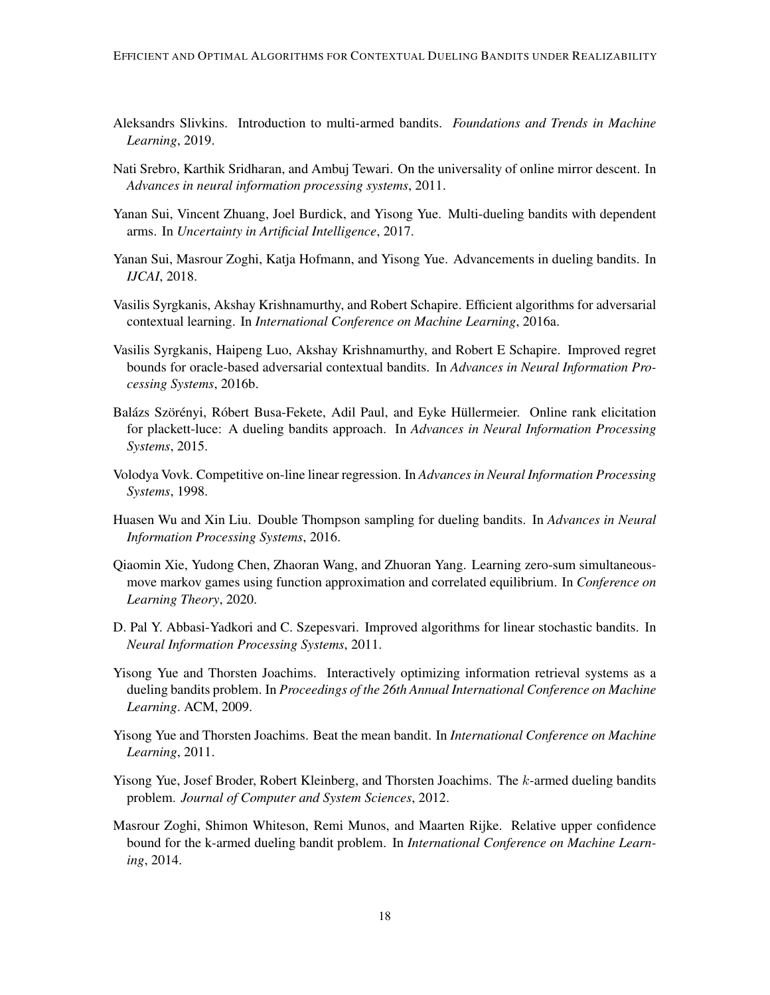- <span id="page-17-0"></span>Aleksandrs Slivkins. Introduction to multi-armed bandits. *Foundations and Trends in Machine Learning*, 2019.
- <span id="page-17-13"></span>Nati Srebro, Karthik Sridharan, and Ambuj Tewari. On the universality of online mirror descent. In *Advances in neural information processing systems*, 2011.
- <span id="page-17-4"></span>Yanan Sui, Vincent Zhuang, Joel Burdick, and Yisong Yue. Multi-dueling bandits with dependent arms. In *Uncertainty in Artificial Intelligence*, 2017.
- <span id="page-17-7"></span>Yanan Sui, Masrour Zoghi, Katja Hofmann, and Yisong Yue. Advancements in dueling bandits. In *IJCAI*, 2018.
- <span id="page-17-10"></span>Vasilis Syrgkanis, Akshay Krishnamurthy, and Robert Schapire. Efficient algorithms for adversarial contextual learning. In *International Conference on Machine Learning*, 2016a.
- <span id="page-17-11"></span>Vasilis Syrgkanis, Haipeng Luo, Akshay Krishnamurthy, and Robert E Schapire. Improved regret bounds for oracle-based adversarial contextual bandits. In *Advances in Neural Information Processing Systems*, 2016b.
- <span id="page-17-6"></span>Balázs Szörényi, Róbert Busa-Fekete, Adil Paul, and Eyke Hüllermeier. Online rank elicitation for plackett-luce: A dueling bandits approach. In *Advances in Neural Information Processing Systems*, 2015.
- <span id="page-17-12"></span>Volodya Vovk. Competitive on-line linear regression. In *Advances in Neural Information Processing Systems*, 1998.
- <span id="page-17-3"></span>Huasen Wu and Xin Liu. Double Thompson sampling for dueling bandits. In *Advances in Neural Information Processing Systems*, 2016.
- <span id="page-17-9"></span>Qiaomin Xie, Yudong Chen, Zhaoran Wang, and Zhuoran Yang. Learning zero-sum simultaneousmove markov games using function approximation and correlated equilibrium. In *Conference on Learning Theory*, 2020.
- <span id="page-17-14"></span>D. Pal Y. Abbasi-Yadkori and C. Szepesvari. Improved algorithms for linear stochastic bandits. In *Neural Information Processing Systems*, 2011.
- <span id="page-17-8"></span>Yisong Yue and Thorsten Joachims. Interactively optimizing information retrieval systems as a dueling bandits problem. In *Proceedings of the 26th Annual International Conference on Machine Learning*. ACM, 2009.
- <span id="page-17-5"></span>Yisong Yue and Thorsten Joachims. Beat the mean bandit. In *International Conference on Machine Learning*, 2011.
- <span id="page-17-1"></span>Yisong Yue, Josef Broder, Robert Kleinberg, and Thorsten Joachims. The k-armed dueling bandits problem. *Journal of Computer and System Sciences*, 2012.
- <span id="page-17-2"></span>Masrour Zoghi, Shimon Whiteson, Remi Munos, and Maarten Rijke. Relative upper confidence bound for the k-armed dueling bandit problem. In *International Conference on Machine Learning*, 2014.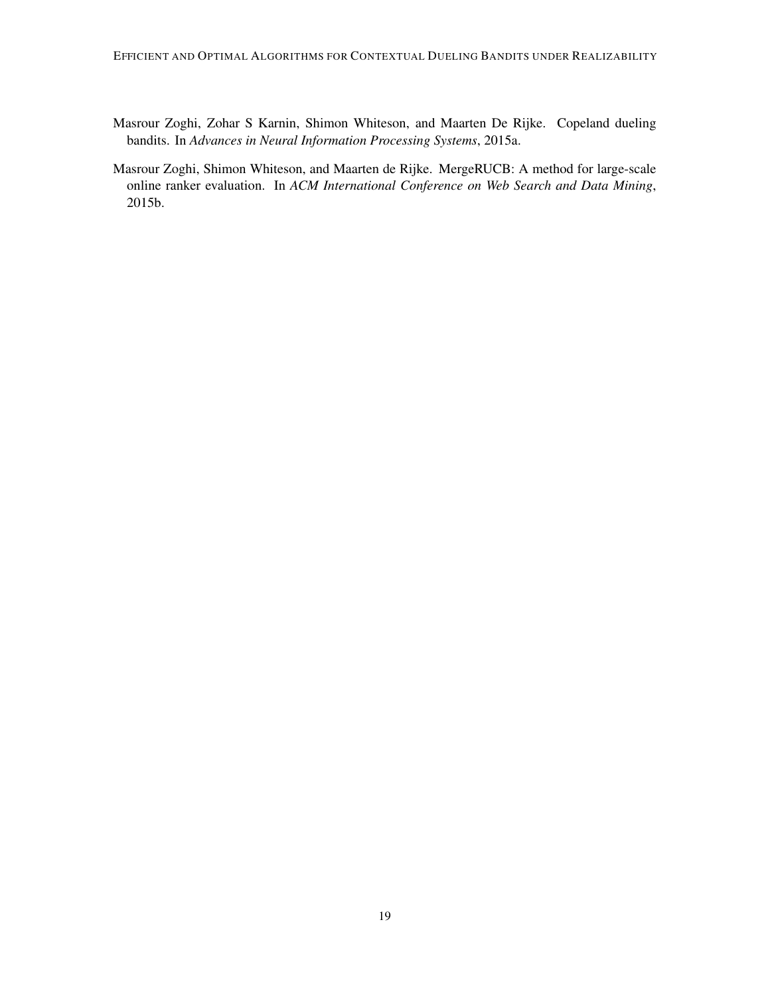- <span id="page-18-1"></span>Masrour Zoghi, Zohar S Karnin, Shimon Whiteson, and Maarten De Rijke. Copeland dueling bandits. In *Advances in Neural Information Processing Systems*, 2015a.
- <span id="page-18-0"></span>Masrour Zoghi, Shimon Whiteson, and Maarten de Rijke. MergeRUCB: A method for large-scale online ranker evaluation. In *ACM International Conference on Web Search and Data Mining*, 2015b.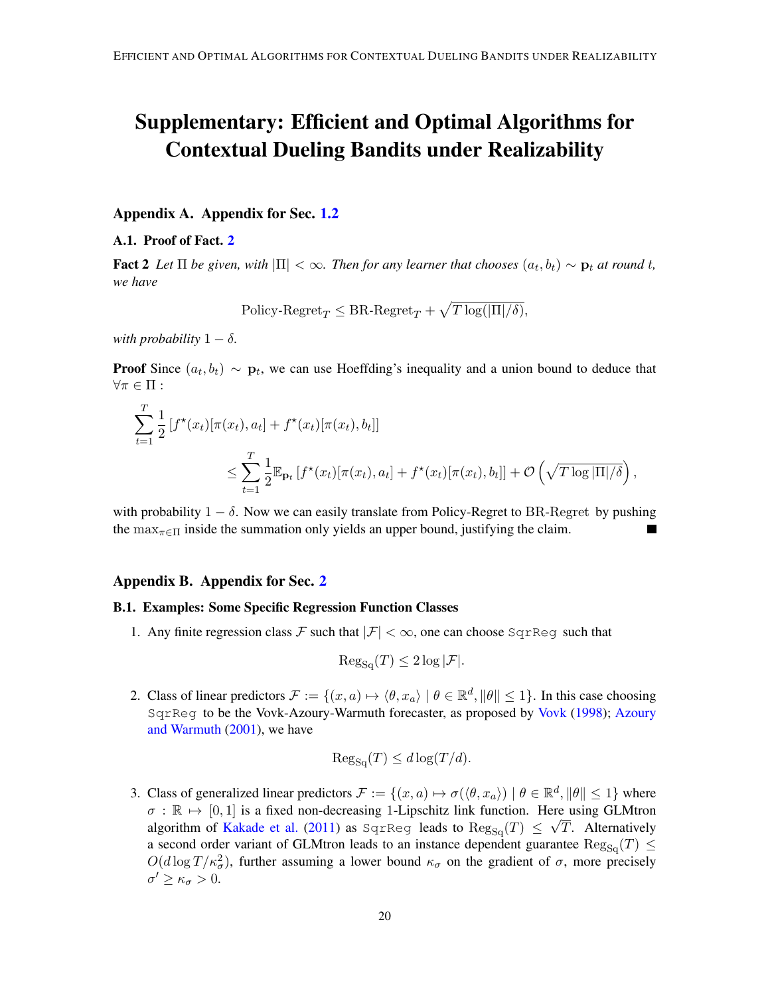# Supplementary: Efficient and Optimal Algorithms for Contextual Dueling Bandits under Realizability

# Appendix A. Appendix for Sec. [1.2](#page-2-1)

#### A.1. Proof of Fact. [2](#page-4-0)

**Fact 2** Let  $\Pi$  be given, with  $|\Pi| < \infty$ . Then for any learner that chooses  $(a_t, b_t) \sim \mathbf{p}_t$  at round t, *we have*

 $\text{Policy-Regret}_{T} \leq \text{BR-Regret}_{T} + \sqrt{T \log(|\Pi|/\delta)},$ 

*with probability*  $1 - \delta$ *.* 

**Proof** Since  $(a_t, b_t) \sim \mathbf{p}_t$ , we can use Hoeffding's inequality and a union bound to deduce that  $\forall \pi \in \Pi:$ 

$$
\sum_{t=1}^{T} \frac{1}{2} [f^{\star}(x_t) [\pi(x_t), a_t] + f^{\star}(x_t) [\pi(x_t), b_t]]
$$
  

$$
\leq \sum_{t=1}^{T} \frac{1}{2} \mathbb{E}_{\mathbf{p}_t} [f^{\star}(x_t) [\pi(x_t), a_t] + f^{\star}(x_t) [\pi(x_t), b_t]] + \mathcal{O}\left(\sqrt{T \log |\Pi| / \delta}\right),
$$

with probability  $1 - \delta$ . Now we can easily translate from Policy-Regret to BR-Regret by pushing the  $\max_{\pi \in \Pi}$  inside the summation only yields an upper bound, justifying the claim.

# Appendix B. Appendix for Sec. [2](#page-5-5)

# <span id="page-19-0"></span>B.1. Examples: Some Specific Regression Function Classes

1. Any finite regression class F such that  $|\mathcal{F}| < \infty$ , one can choose SqrReq such that

$$
Reg_{Sq}(T) \leq 2 \log |\mathcal{F}|.
$$

2. Class of linear predictors  $\mathcal{F} := \{(x, a) \mapsto \langle \theta, x_a \rangle \mid \theta \in \mathbb{R}^d, \|\theta\| \leq 1\}$ . In this case choosing SqrReg to be the Vovk-Azoury-Warmuth forecaster, as proposed by [Vovk](#page-17-12) [\(1998\)](#page-17-12); [Azoury](#page-14-14) [and Warmuth](#page-14-14) [\(2001\)](#page-14-14), we have

$$
Reg_{Sq}(T) \le d \log(T/d).
$$

3. Class of generalized linear predictors  $\mathcal{F} := \{(x, a) \mapsto \sigma(\langle \theta, x_a \rangle) \mid \theta \in \mathbb{R}^d, \|\theta\| \leq 1\}$  where  $\sigma : \mathbb{R} \mapsto [0, 1]$  is a fixed non-decreasing 1-Lipschitz link function. Here using GLMtron algorithm of [Kakade et al.](#page-15-14) [\(2011\)](#page-15-14) as SqrReg leads to  $\text{Reg}_{\text{Sq}}(T) \leq \sqrt{T}$ . Alternatively a second order variant of GLMtron leads to an instance dependent guarantee  $\text{Reg}_{\text{Sq}}(T) \leq$  $O(d \log T / \kappa_{\sigma}^2)$ , further assuming a lower bound  $\kappa_{\sigma}$  on the gradient of  $\sigma$ , more precisely  $\sigma' \geq \kappa_{\sigma} > 0.$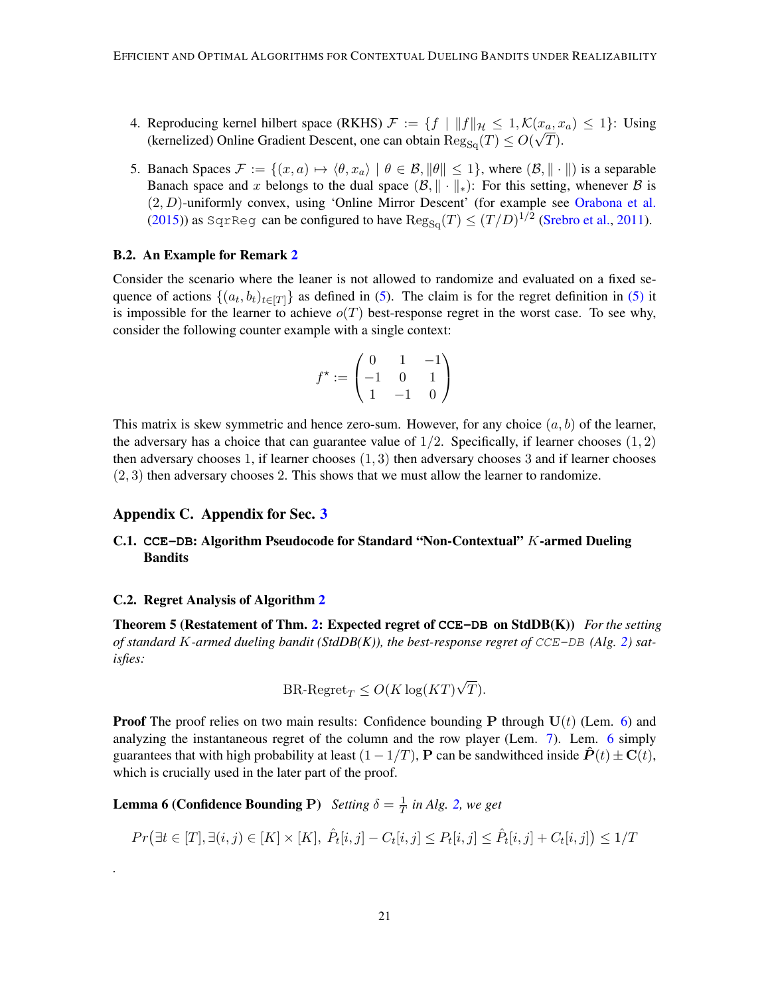- 4. Reproducing kernel hilbert space (RKHS)  $\mathcal{F} := \{f \mid ||f||_{\mathcal{H}} \leq 1, \mathcal{K}(x_a, x_a) \leq 1\}$ : Using (kernelized) Online Gradient Descent, one can obtain  $\text{Reg}_{\text{Sq}}(T) \leq O(\sqrt{T}).$
- 5. Banach Spaces  $\mathcal{F} := \{(x, a) \mapsto \langle \theta, x_a \rangle \mid \theta \in \mathcal{B}, \|\theta\| \leq 1\}$ , where  $(\mathcal{B}, \|\cdot\|)$  is a separable Banach space and x belongs to the dual space  $(\mathcal{B}, \|\cdot\|_*)$ : For this setting, whenever  $\mathcal B$  is (2, D)-uniformly convex, using 'Online Mirror Descent' (for example see [Orabona et al.](#page-16-16) [\(2015\)](#page-16-16)) as SqrReg can be configured to have  $\text{Reg}_{\text{Sq}}(T) \leq (T/D)^{1/2}$  [\(Srebro et al.,](#page-17-13) [2011\)](#page-17-13).

#### <span id="page-20-0"></span>B.2. An Example for Remark [2](#page-6-3)

Consider the scenario where the leaner is not allowed to randomize and evaluated on a fixed sequence of actions  $\{(a_t, b_t)_{t \in [T]}\}\$ as defined in [\(5\)](#page-6-1). The claim is for the regret definition in (5) it is impossible for the learner to achieve  $o(T)$  best-response regret in the worst case. To see why, consider the following counter example with a single context:

$$
f^{\star} := \begin{pmatrix} 0 & 1 & -1 \\ -1 & 0 & 1 \\ 1 & -1 & 0 \end{pmatrix}
$$

This matrix is skew symmetric and hence zero-sum. However, for any choice  $(a, b)$  of the learner, the adversary has a choice that can guarantee value of  $1/2$ . Specifically, if learner chooses  $(1, 2)$ then adversary chooses 1, if learner chooses  $(1, 3)$  then adversary chooses 3 and if learner chooses (2, 3) then adversary chooses 2. This shows that we must allow the learner to randomize.

#### Appendix C. Appendix for Sec. [3](#page-6-0)

# <span id="page-20-1"></span>C.1. **CCE-DB**: Algorithm Pseudocode for Standard "Non-Contextual" K-armed Dueling Bandits

#### <span id="page-20-2"></span>C.2. Regret Analysis of Algorithm [2](#page-21-0)

*.*

<span id="page-20-4"></span>Theorem 5 (Restatement of Thm. [2:](#page-7-0) Expected regret of **CCE-DB** on StdDB(K)) *For the setting of standard* K*-armed dueling bandit (StdDB(K)), the best-response regret of* CCE-DB *(Alg. [2\)](#page-21-0) satisfies:*

$$
BR\text{-}Regret_T \le O(K \log (KT)\sqrt{T}).
$$

**Proof** The proof relies on two main results: Confidence bounding **P** through  $U(t)$  (Lem. [6\)](#page-20-3) and analyzing the instantaneous regret of the column and the row player (Lem. [7\)](#page-21-1). Lem. [6](#page-20-3) simply guarantees that with high probability at least  $(1 - 1/T)$ , **P** can be sandwithced inside  $P(t) \pm C(t)$ , which is crucially used in the later part of the proof.

<span id="page-20-3"></span>**Lemma 6 (Confidence Bounding P)** *Setting*  $\delta = \frac{1}{T}$  $\frac{1}{T}$  in Alg. [2,](#page-21-0) we get

$$
Pr(\exists t \in [T], \exists (i, j) \in [K] \times [K], \hat{P}_t[i, j] - C_t[i, j] \le P_t[i, j] \le \hat{P}_t[i, j] + C_t[i, j]) \le 1/T
$$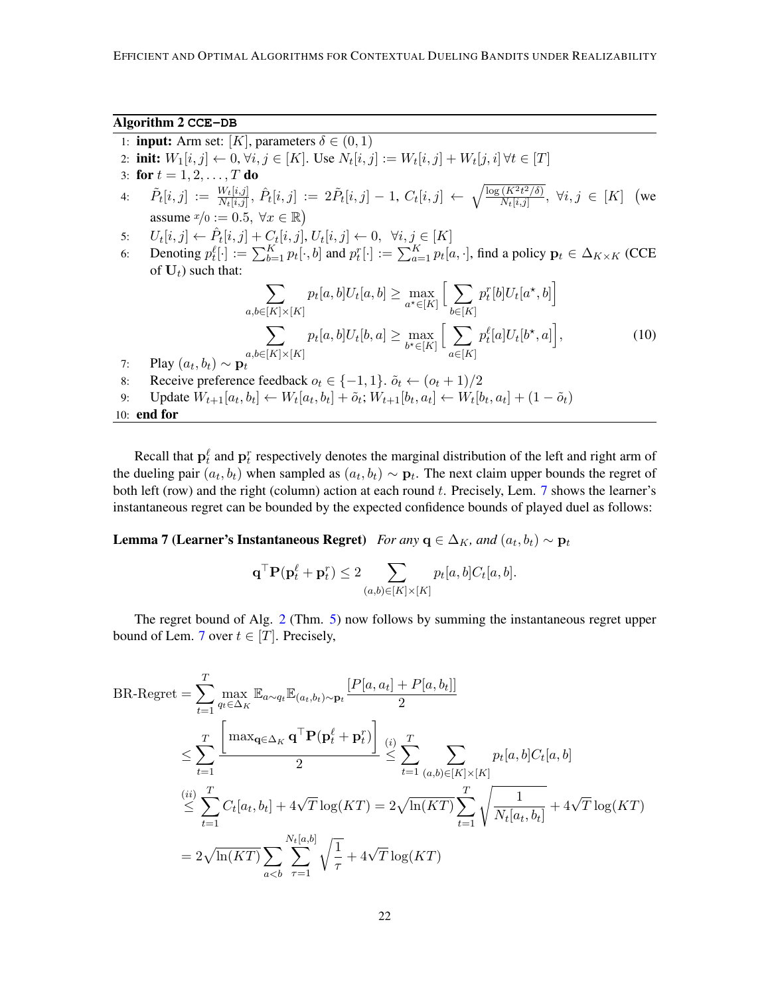#### Algorithm 2 **CCE-DB**

- <span id="page-21-0"></span>1: **input:** Arm set:  $[K]$ , parameters  $\delta \in (0, 1)$
- 2: **init:**  $W_1[i, j] \leftarrow 0, \forall i, j \in [K]$ . Use  $N_t[i, j] := W_t[i, j] + W_t[j, i] \forall t \in [T]$
- 3: for  $t = 1, 2, ..., T$  do
- $\begin{array}{rcl} \hat{P}_t[i,j] & := & \frac{W_t[i,j]}{N_t[i,j]}, \, \hat{P}_t[i,j] & := & 2\tilde{P}_t[i,j] 1, \, C_t[i,j] \, \leftarrow \, \sqrt{\frac{\log{(K^2t^2/\delta)}}{N_t[i,j]}} \end{array}$  $\frac{(K^2t^2/\delta)}{N_t[i,j]}, \forall i,j \in [K]$  (we assume  $x/0 := 0.5, \forall x \in \mathbb{R}$
- 5:  $U_t[i, j] \leftarrow \hat{P}_t[i, j] + C_t[i, j], U_t[i, j] \leftarrow 0, \forall i, j \in [K]$
- 6: Denoting  $p_t^{\ell}[\cdot] := \sum_{b=1}^K p_t[\cdot, b]$  and  $p_t^{\ell}[\cdot] := \sum_{a=1}^K p_t[a, \cdot]$ , find a policy  $\mathbf{p}_t \in \Delta_{K \times K}$  (CCE of  $U_t$ ) such that:

<span id="page-21-2"></span>
$$
\sum_{a,b\in[K]\times[K]} p_t[a,b]U_t[a,b] \ge \max_{a^*\in[K]} \Big[ \sum_{b\in[K]} p_t^r[b]U_t[a^*,b] \Big] \n\sum_{a,b\in[K]\times[K]} p_t[a,b]U_t[b,a] \ge \max_{b^*\in[K]} \Big[ \sum_{a\in[K]} p_t^{\ell}[a]U_t[b^*,a] \Big],
$$
\n(10)

- 7: Play  $(a_t, b_t) \sim \mathbf{p}_t$ 8: Receive preference feedback  $o_t \in \{-1, 1\}$ .  $\tilde{o}_t \leftarrow (o_t + 1)/2$
- 9: Update  $W_{t+1}[a_t, b_t] \leftarrow W_t[a_t, b_t] + \tilde{o}_t; W_{t+1}[b_t, a_t] \leftarrow W_t[b_t, a_t] + (1 \tilde{o}_t)$

# 10: end for

Recall that  $\mathbf{p}_t^{\ell}$  and  $\mathbf{p}_t^r$  respectively denotes the marginal distribution of the left and right arm of the dueling pair  $(a_t, b_t)$  when sampled as  $(a_t, b_t) \sim \mathbf{p}_t$ . The next claim upper bounds the regret of both left (row) and the right (column) action at each round  $t$ . Precisely, Lem. [7](#page-21-1) shows the learner's instantaneous regret can be bounded by the expected confidence bounds of played duel as follows:

<span id="page-21-1"></span>**Lemma 7 (Learner's Instantaneous Regret)** For any  $q \in \Delta_K$ , and  $(a_t, b_t) \sim p_t$ 

$$
\mathbf{q}^{\top} \mathbf{P}(\mathbf{p}_t^{\ell} + \mathbf{p}_t^r) \le 2 \sum_{(a,b) \in [K] \times [K]} p_t[a,b] C_t[a,b].
$$

The regret bound of Alg. [2](#page-21-0) (Thm. [5\)](#page-20-4) now follows by summing the instantaneous regret upper bound of Lem. [7](#page-21-1) over  $t \in [T]$ . Precisely,

BR-Regret = 
$$
\sum_{t=1}^{T} \max_{q_t \in \Delta_K} \mathbb{E}_{a \sim q_t} \mathbb{E}_{(a_t, b_t) \sim \mathbf{p}_t} \frac{[P[a, a_t] + P[a, b_t]]}{2}
$$
  
\n
$$
\leq \sum_{t=1}^{T} \frac{\left[ \max_{\mathbf{q} \in \Delta_K} \mathbf{q}^{\top} \mathbf{P}(\mathbf{p}_t^{\ell} + \mathbf{p}_t^r) \right]}{2} \leq \sum_{t=1}^{T} \sum_{(a, b) \in [K] \times [K]} p_t[a, b] C_t[a, b]
$$
  
\n
$$
\leq \sum_{t=1}^{(ii)} \sum_{t=1}^{T} C_t[a_t, b_t] + 4\sqrt{T} \log(KT) = 2\sqrt{\ln(KT)} \sum_{t=1}^{T} \sqrt{\frac{1}{N_t[a_t, b_t]}} + 4\sqrt{T} \log(KT)
$$
  
\n
$$
= 2\sqrt{\ln(KT)} \sum_{a < b} \sum_{\tau=1}^{N_t[a, b]} \sqrt{\frac{1}{\tau}} + 4\sqrt{T} \log(KT)
$$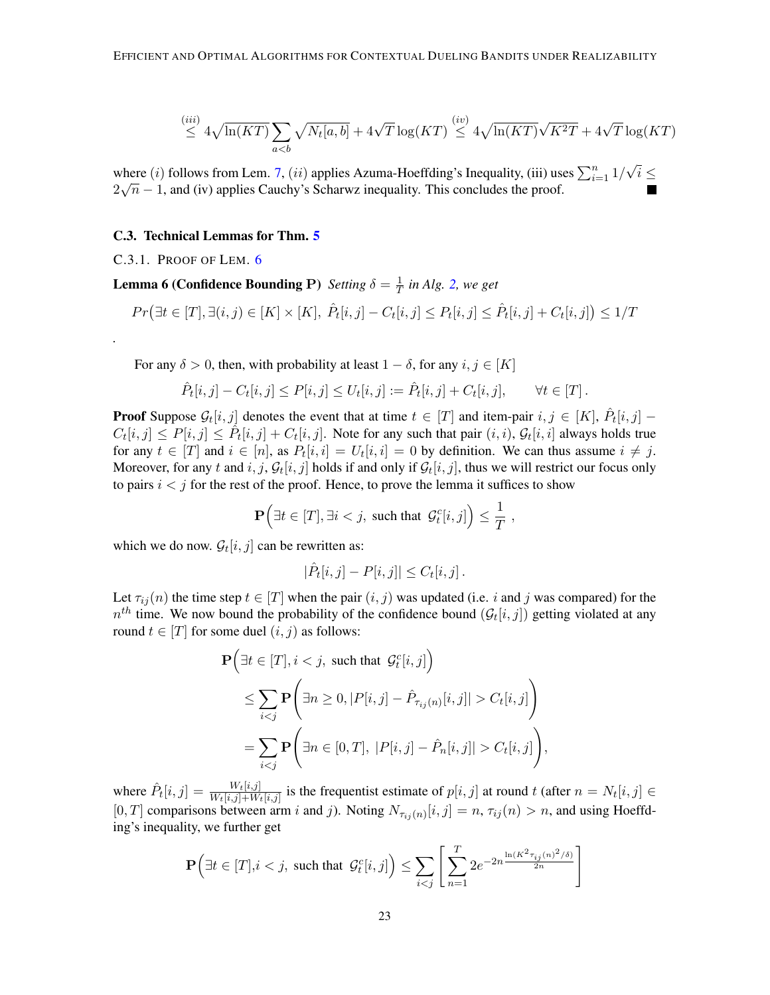$$
\stackrel{(iii)}{\leq} 4\sqrt{\ln(KT)} \sum_{a
$$

where (*i*) follows from Lem. [7,](#page-21-1) (*ii*) applies Azuma-Hoeffding's Inequality, (iii) uses  $\sum_{i=1}^{n} 1/$ √ where (i) follows from Lem. 7, (ii) applies Azuma-Hoeffding's Inequality, (iii) uses  $\sum_{i=1}^{n} 1/\sqrt{i} \leq$  $2\sqrt{n} - 1$ , and (iv) applies Cauchy's Scharwz inequality. This concludes the proof.

#### C.3. Technical Lemmas for Thm. [5](#page-20-4)

C.3.1. PROOF OF LEM. [6](#page-20-3)

*.*

**Lemma 6 (Confidence Bounding P)** *Setting*  $\delta = \frac{1}{7}$  $\frac{1}{T}$  in Alg. [2,](#page-21-0) we get

$$
Pr(\exists t \in [T], \exists (i, j) \in [K] \times [K], \hat{P}_t[i, j] - C_t[i, j] \le P_t[i, j] \le \hat{P}_t[i, j] + C_t[i, j]) \le 1/T
$$

For any  $\delta > 0$ , then, with probability at least  $1 - \delta$ , for any  $i, j \in [K]$ 

$$
\hat{P}_t[i,j] - C_t[i,j] \le P[i,j] \le U_t[i,j] := \hat{P}_t[i,j] + C_t[i,j], \qquad \forall t \in [T].
$$

**Proof** Suppose  $\mathcal{G}_t[i,j]$  denotes the event that at time  $t \in [T]$  and item-pair  $i, j \in [K]$ ,  $\hat{P}_t[i,j]$  –  $C_t[i,j] \leq P[i,j] \leq \hat{P}_t[i,j] + C_t[i,j]$ . Note for any such that pair  $(i,i)$ ,  $\mathcal{G}_t[i,i]$  always holds true for any  $t \in [T]$  and  $i \in [n]$ , as  $P_t[i, i] = U_t[i, i] = 0$  by definition. We can thus assume  $i \neq j$ . Moreover, for any t and  $i, j, \mathcal{G}_t[i, j]$  holds if and only if  $\mathcal{G}_t[i, j]$ , thus we will restrict our focus only to pairs  $i < j$  for the rest of the proof. Hence, to prove the lemma it suffices to show

$$
\mathbf{P}\Big(\exists t\in[T], \exists i
$$

which we do now.  $\mathcal{G}_t[i, j]$  can be rewritten as:

$$
|\hat{P}_t[i,j]-P[i,j]|\leq C_t[i,j].
$$

Let  $\tau_{ij}(n)$  the time step  $t \in [T]$  when the pair  $(i, j)$  was updated (i.e. i and j was compared) for the  $n^{th}$  time. We now bound the probability of the confidence bound  $(\mathcal{G}_t[i,j])$  getting violated at any round  $t \in [T]$  for some duel  $(i, j)$  as follows:

$$
\mathbf{P}\Big(\exists t \in [T], i < j, \text{ such that } \mathcal{G}_t^c[i,j]\Big) \\
\leq \sum_{i < j} \mathbf{P}\Big(\exists n \geq 0, |P[i,j] - \hat{P}_{\tau_{ij}(n)}[i,j]| > C_t[i,j]\Big) \\
= \sum_{i < j} \mathbf{P}\Big(\exists n \in [0,T], |P[i,j] - \hat{P}_n[i,j]| > C_t[i,j]\Big),
$$

where  $\hat{P}_t[i,j] = \frac{W_t[i,j]}{W_t[i,j]+W_t[i,j]}$  is the frequentist estimate of  $p[i,j]$  at round t (after  $n = N_t[i,j] \in$ [0, T] comparisons between arm i and j). Noting  $N_{\tau_{ij}(n)}[i,j] = n$ ,  $\tau_{ij}(n) > n$ , and using Hoeffding's inequality, we further get

$$
\mathbf{P}\Big(\exists t \in [T], i < j, \text{ such that } \mathcal{G}_t^c[i,j]\Big) \le \sum_{i < j} \left[ \sum_{n=1}^T 2e^{-2n \frac{\ln(K^2 \tau_{ij}(n)^2/\delta)}{2n}} \right]
$$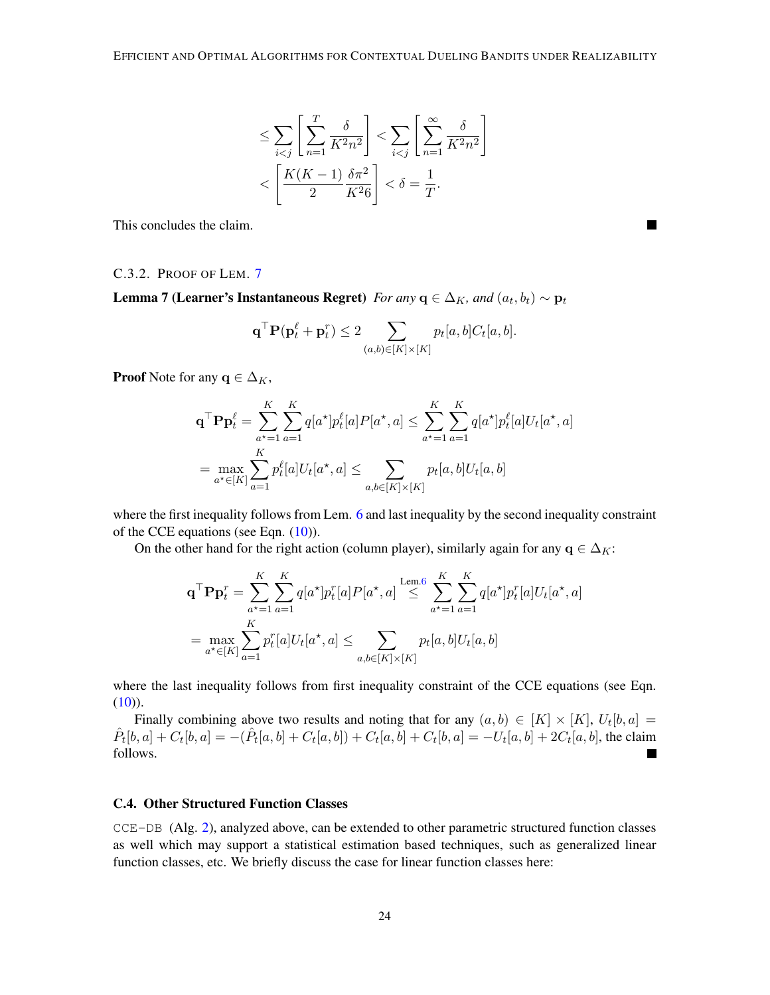$$
\leq \sum_{i < j} \left[ \sum_{n=1}^T \frac{\delta}{K^2 n^2} \right] < \sum_{i < j} \left[ \sum_{n=1}^\infty \frac{\delta}{K^2 n^2} \right] \\
&< \left[ \frac{K(K-1)}{2} \frac{\delta \pi^2}{K^2 6} \right] < \delta = \frac{1}{T}.
$$

This concludes the claim.

#### C.3.2. PROOF OF LEM. [7](#page-21-1)

**Lemma 7 (Learner's Instantaneous Regret)** *For any*  $q \in \Delta_K$ , and  $(a_t, b_t) \sim p_t$ 

$$
\mathbf{q}^{\top} \mathbf{P}(\mathbf{p}_t^{\ell} + \mathbf{p}_t^r) \leq 2 \sum_{(a,b) \in [K] \times [K]} p_t[a,b] C_t[a,b].
$$

 $\mathcal{L}$ 

**Proof** Note for any  $q \in \Delta_K$ ,

$$
\mathbf{q}^{\top} \mathbf{P} \mathbf{p}_t^{\ell} = \sum_{a^{\star}=1}^{K} \sum_{a=1}^{K} q[a^{\star}] p_t^{\ell}[a] P[a^{\star}, a] \le \sum_{a^{\star}=1}^{K} \sum_{a=1}^{K} q[a^{\star}] p_t^{\ell}[a] U_t[a^{\star}, a]
$$

$$
= \max_{a^{\star} \in [K]} \sum_{a=1}^{K} p_t^{\ell}[a] U_t[a^{\star}, a] \le \sum_{a, b \in [K] \times [K]} p_t[a, b] U_t[a, b]
$$

where the first inequality follows from Lem. [6](#page-20-3) and last inequality by the second inequality constraint of the CCE equations (see Eqn.  $(10)$ ).

On the other hand for the right action (column player), similarly again for any  $q \in \Delta_K$ :

$$
\mathbf{q}^{\top} \mathbf{P} \mathbf{p}_t^r = \sum_{a^* = 1}^K \sum_{a=1}^K q[a^*] p_t^r[a] P[a^*, a] \stackrel{\text{Lem.6}}{\leq} \sum_{a^* = 1}^K \sum_{a=1}^K q[a^*] p_t^r[a] U_t[a^*, a]
$$

$$
= \max_{a^* \in [K]} \sum_{a=1}^K p_t^r[a] U_t[a^*, a] \leq \sum_{a, b \in [K] \times [K]} p_t[a, b] U_t[a, b]
$$

where the last inequality follows from first inequality constraint of the CCE equations (see Eqn.  $(10)$ ).

Finally combining above two results and noting that for any  $(a, b) \in [K] \times [K]$ ,  $U_t[b, a] =$  $\hat{P}_t[b,a] + C_t[b,a] = -(\hat{P}_t[a,b] + C_t[a,b]) + C_t[a,b] + C_t[b,a] = -U_t[a,b] + 2C_t[a,b]$ , the claim follows.

# <span id="page-23-0"></span>C.4. Other Structured Function Classes

CCE-DB (Alg. [2\)](#page-21-0), analyzed above, can be extended to other parametric structured function classes as well which may support a statistical estimation based techniques, such as generalized linear function classes, etc. We briefly discuss the case for linear function classes here: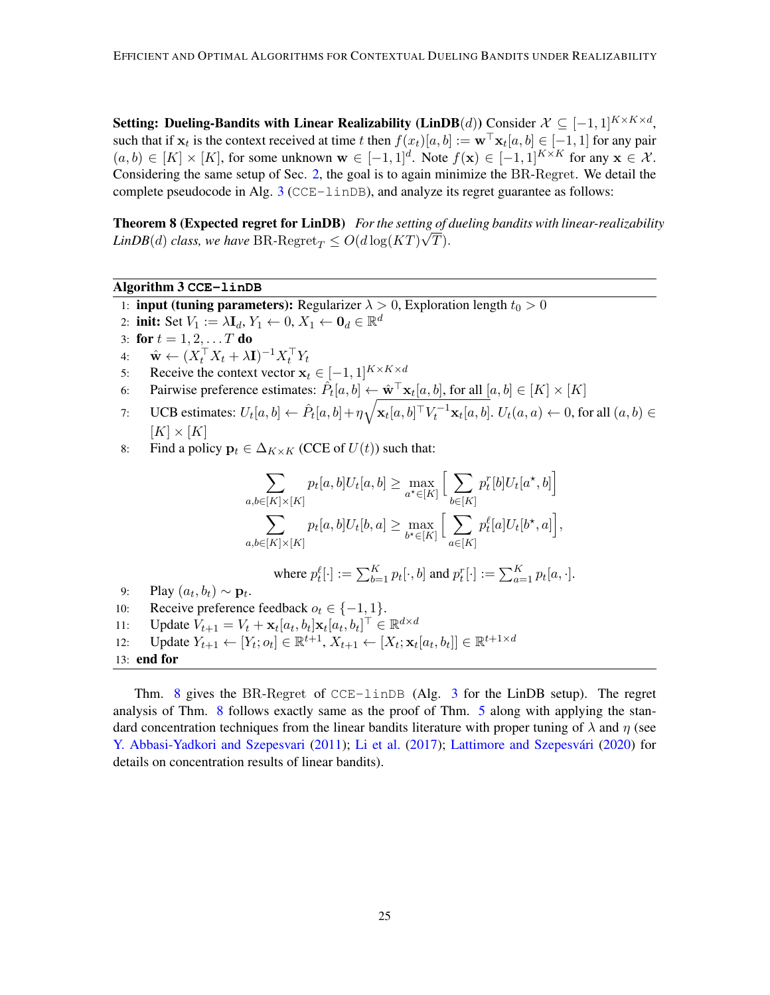Setting: Dueling-Bandits with Linear Realizability (LinDB(d)) Consider  $\mathcal{X} \subseteq [-1,1]^{K \times K \times d}$ , such that if  $x_t$  is the context received at time t then  $f(x_t)[a, b] := \mathbf{w}^\top \mathbf{x}_t[a, b] \in [-1, 1]$  for any pair  $(a, b) \in [K] \times [K]$ , for some unknown  $\mathbf{w} \in [-1, 1]^d$ . Note  $f(\mathbf{x}) \in [-1, 1]^{K \times K}$  for any  $\mathbf{x} \in \mathcal{X}$ . Considering the same setup of Sec. [2,](#page-5-5) the goal is to again minimize the BR-Regret. We detail the complete pseudocode in Alg.  $3$  (CCE-linDB), and analyze its regret guarantee as follows:

<span id="page-24-1"></span>**Theorem 8 (Expected regret for LinDB)** *For the setting of dueling bandits with linear-realizability LinDB*(*d*) *class, we have* BR-Regret $_T \le O(d \log (KT)\sqrt{T})$ .

# Algorithm 3 **CCE-linDB**

- <span id="page-24-0"></span>1: **input (tuning parameters):** Regularizer  $\lambda > 0$ , Exploration length  $t_0 > 0$
- 2: init: Set  $V_1 := \lambda \mathbf{I}_d, Y_1 \leftarrow 0, X_1 \leftarrow \mathbf{0}_d \in \mathbb{R}^d$
- 3: for  $t = 1, 2, ... T$  do
- 4:  $\mathbf{\hat{w}} \leftarrow (X_t^\top X_t + \lambda \mathbf{I})^{-1} X_t^\top Y_t$
- 5: Receive the context vector  $\mathbf{x}_t \in [-1, 1]^{K \times K \times d}$
- 6: Pairwise preference estimates:  $\hat{P}_t[a, b] \leftarrow \hat{\mathbf{w}}^\top \mathbf{x}_t[a, b]$ , for all  $[a, b] \in [K] \times [K]$
- 7: UCB estimates:  $U_t[a, b] \leftarrow \hat{P}_t[a, b] + \eta \sqrt{\mathbf{x}_t[a, b]^\top V_t^{-1} \mathbf{x}_t[a, b]}$ .  $U_t(a, a) \leftarrow 0$ , for all  $(a, b) \in$  $[K] \times [K]$
- 8: Find a policy  $\mathbf{p}_t \in \Delta_{K \times K}$  (CCE of  $U(t)$ ) such that:

$$
\sum_{a,b\in[K]\times[K]} p_t[a,b]U_t[a,b] \ge \max_{a^*\in[K]} \Big[\sum_{b\in[K]} p_t^r[b]U_t[a^*,b]\Big]
$$
  

$$
\sum_{a,b\in[K]\times[K]} p_t[a,b]U_t[b,a] \ge \max_{b^*\in[K]} \Big[\sum_{a\in[K]} p_t^{\ell}[a]U_t[b^*,a]\Big],
$$

where 
$$
p_t^{\ell}[\cdot] := \sum_{b=1}^K p_t[\cdot, b]
$$
 and  $p_t^r[\cdot] := \sum_{a=1}^K p_t[a, \cdot]$ .

- 9: Play  $(a_t, b_t) \sim \mathbf{p}_t$ .
- 10: Receive preference feedback  $o_t \in \{-1, 1\}$ .
- 11: Update  $V_{t+1} = V_t + \mathbf{x}_t [a_t, b_t] \mathbf{x}_t [a_t, b_t]^\top \in \mathbb{R}^{d \times d}$
- 12: Update  $Y_{t+1} \leftarrow [Y_t; o_t] \in \mathbb{R}^{t+1}, X_{t+1} \leftarrow [X_t; \mathbf{x}_t[a_t, b_t]] \in \mathbb{R}^{t+1 \times d}$ 13: end for

Thm. [8](#page-24-1) gives the BR-Regret of CCE-linDB (Alg. [3](#page-24-0) for the LinDB setup). The regret analysis of Thm. [8](#page-24-1) follows exactly same as the proof of Thm. [5](#page-20-4) along with applying the standard concentration techniques from the linear bandits literature with proper tuning of  $\lambda$  and  $\eta$  (see [Y. Abbasi-Yadkori and Szepesvari](#page-17-14) [\(2011\)](#page-17-14); [Li et al.](#page-16-17) [\(2017\)](#page-16-17); Lattimore and Szepesvári [\(2020\)](#page-16-0) for details on concentration results of linear bandits).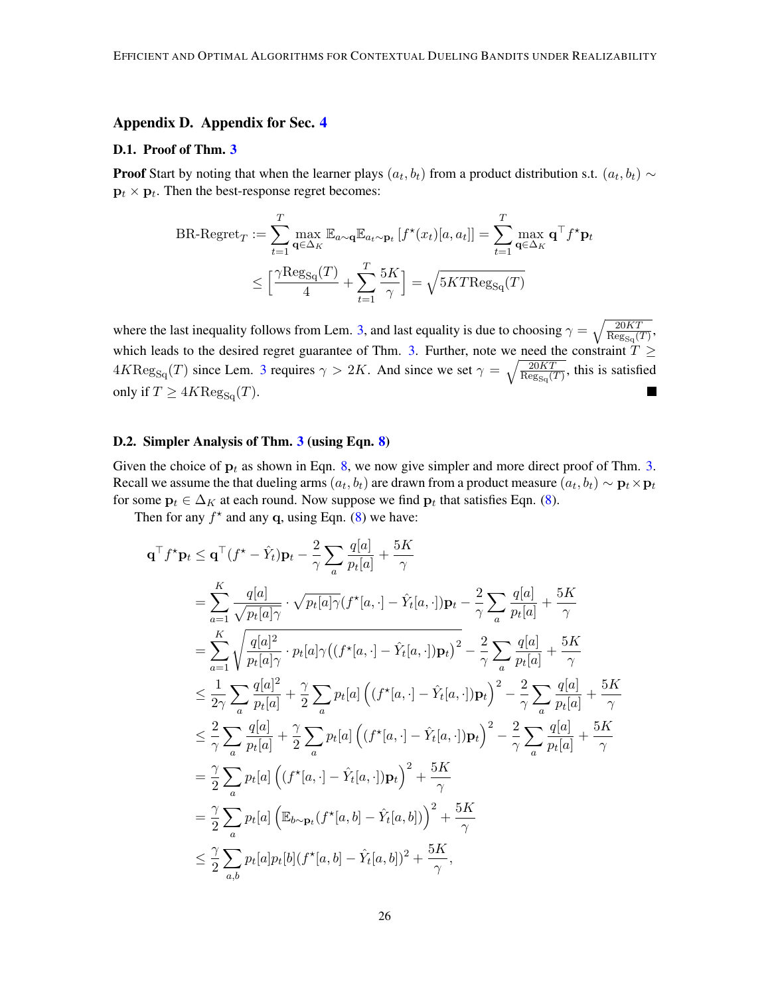# Appendix D. Appendix for Sec. [4](#page-8-0)

#### <span id="page-25-0"></span>D.1. Proof of Thm. [3](#page-11-3)

**Proof** Start by noting that when the learner plays  $(a_t, b_t)$  from a product distribution s.t.  $(a_t, b_t) \sim$  $\mathbf{p}_t \times \mathbf{p}_t$ . Then the best-response regret becomes:

$$
BR\text{-Regret}_{T} := \sum_{t=1}^{T} \max_{\mathbf{q} \in \Delta_{K}} \mathbb{E}_{a \sim \mathbf{q}} \mathbb{E}_{a_{t} \sim \mathbf{p}_{t}} \left[ f^{\star}(x_{t}) [a, a_{t}] \right] = \sum_{t=1}^{T} \max_{\mathbf{q} \in \Delta_{K}} \mathbf{q}^{\top} f^{\star} \mathbf{p}_{t}
$$

$$
\leq \left[ \frac{\gamma \text{Reg}_{\text{Sq}}(T)}{4} + \sum_{t=1}^{T} \frac{5K}{\gamma} \right] = \sqrt{5KT \text{Reg}_{\text{Sq}}(T)}
$$

where the last inequality follows from Lem. [3,](#page-9-0) and last equality is due to choosing  $\gamma = \sqrt{\frac{20KT}{\text{Re}\sigma}$  $\frac{20KT}{\text{Reg}_{\text{Sq}}(T)},$ which leads to the desired regret guarantee of Thm. [3.](#page-11-3) Further, note we need the constraint  $T \geq$  $4K \text{Reg}_{\text{Sq}}(T)$  since Lem. [3](#page-9-0) requires  $\gamma > 2K$ . And since we set  $\gamma = \sqrt{\frac{20KT}{\text{Reg}_{\text{Sq}}(T)}}$  $\frac{20KT}{\text{Reg}_{\text{Sq}}(T)}$ , this is satisfied only if  $T \geq 4K \text{Reg}_{\text{Sq}}(T)$ .  $\blacksquare$ 

# <span id="page-25-1"></span>D.2. Simpler Analysis of Thm. [3](#page-11-3) (using Eqn. [8\)](#page-11-4)

Given the choice of  $p_t$  as shown in Eqn. [8,](#page-11-4) we now give simpler and more direct proof of Thm. [3.](#page-11-3) Recall we assume the that dueling arms  $(a_t,b_t)$  are drawn from a product measure  $(a_t,b_t) \sim \mathbf{p}_t \times \mathbf{p}_t$ for some  $\mathbf{p}_t \in \Delta_K$  at each round. Now suppose we find  $\mathbf{p}_t$  that satisfies Eqn. [\(8\)](#page-11-4).

Then for any  $f^*$  and any q, using Eqn. [\(8\)](#page-11-4) we have:

$$
\mathbf{q}^{\top} f^* \mathbf{p}_t \leq \mathbf{q}^{\top} (f^* - \hat{Y}_t) \mathbf{p}_t - \frac{2}{\gamma} \sum_a \frac{q[a]}{p_t[a]} + \frac{5K}{\gamma}
$$
\n
$$
= \sum_{a=1}^K \frac{q[a]}{\sqrt{p_t[a]\gamma}} \cdot \sqrt{p_t[a]\gamma} (f^*[a, \cdot] - \hat{Y}_t[a, \cdot]) \mathbf{p}_t - \frac{2}{\gamma} \sum_a \frac{q[a]}{p_t[a]} + \frac{5K}{\gamma}
$$
\n
$$
= \sum_{a=1}^K \sqrt{\frac{q[a]^2}{p_t[a]\gamma}} \cdot p_t[a] \gamma ((f^*[a, \cdot] - \hat{Y}_t[a, \cdot]) \mathbf{p}_t)^2 - \frac{2}{\gamma} \sum_a \frac{q[a]}{p_t[a]} + \frac{5K}{\gamma}
$$
\n
$$
\leq \frac{1}{2\gamma} \sum_a \frac{q[a]^2}{p_t[a]} + \frac{\gamma}{2} \sum_a p_t[a] \left( (f^*[a, \cdot] - \hat{Y}_t[a, \cdot]) \mathbf{p}_t \right)^2 - \frac{2}{\gamma} \sum_a \frac{q[a]}{p_t[a]} + \frac{5K}{\gamma}
$$
\n
$$
\leq \frac{2}{\gamma} \sum_a \frac{q[a]}{p_t[a]} + \frac{\gamma}{2} \sum_a p_t[a] \left( (f^*[a, \cdot] - \hat{Y}_t[a, \cdot]) \mathbf{p}_t \right)^2 - \frac{2}{\gamma} \sum_a \frac{q[a]}{p_t[a]} + \frac{5K}{\gamma}
$$
\n
$$
= \frac{\gamma}{2} \sum_a p_t[a] \left( (f^*[a, \cdot] - \hat{Y}_t[a, \cdot]) \mathbf{p}_t \right)^2 + \frac{5K}{\gamma}
$$
\n
$$
= \frac{\gamma}{2} \sum_a p_t[a] \left( \mathbb{E}_{b \sim \mathbf{p}_t} (f^*[a, b] - \hat{Y}_t[a, b]) \right)^2 + \frac{5K}{\gamma}
$$
\n
$$
\leq \frac{\gamma}{2} \sum_{a,b} p_t[a] p_t[b] (f^*[a, b] - \hat{Y}_t[a, b])^2 + \frac{5K}{\gamma},
$$